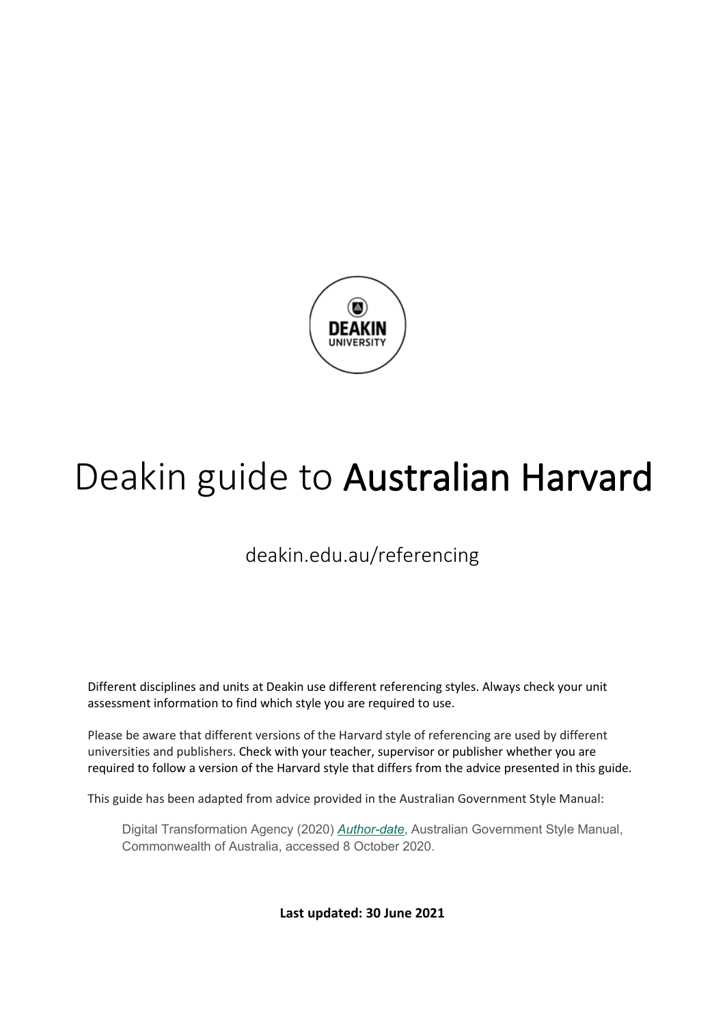

# Deakin guide to Australian Harvard

## deakin.edu.au/referencing

Different disciplines and units at Deakin use different referencing styles. Always check your unit assessment information to find which style you are required to use.

Please be aware that different versions of the Harvard style of referencing are used by different universities and publishers. Check with your teacher, supervisor or publisher whether you are required to follow a version of the Harvard style that differs from the advice presented in this guide.

This guide has been adapted from advice provided in the Australian Government Style Manual:

Digital Transformation Agency (2020) *[Author-date](https://www.stylemanual.gov.au/style-rules-and-conventions/referencing-and-attribution/author-date)*, Australian Government Style Manual, Commonwealth of Australia, accessed 8 October 2020.

**Last updated: 30 June 2021**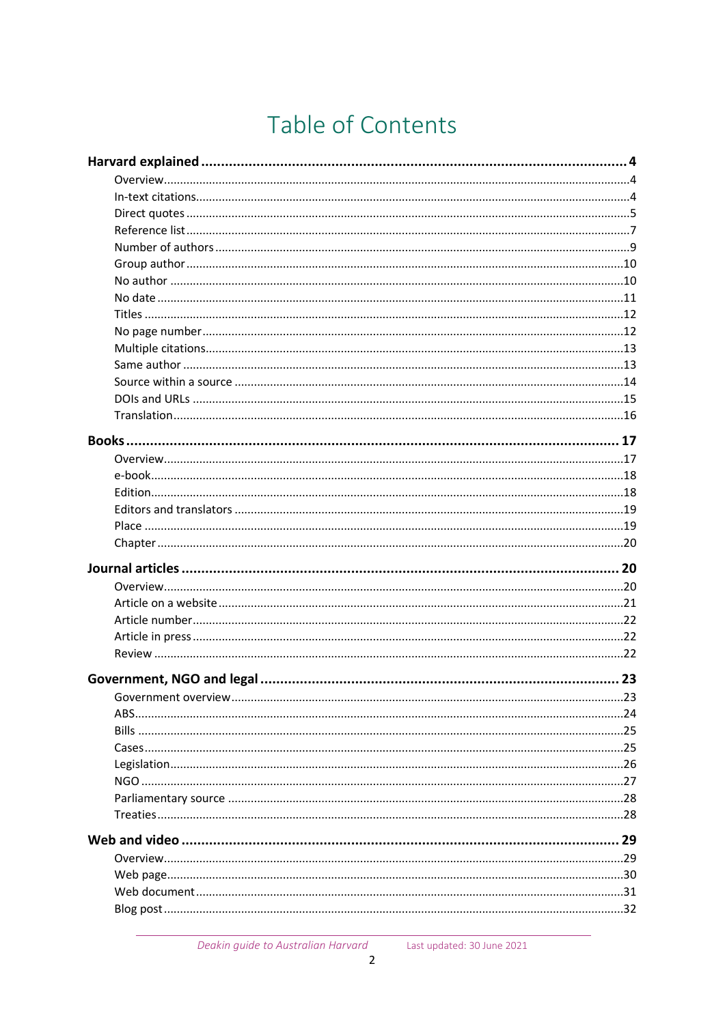## Table of Contents

| Government overview | 23 |
|---------------------|----|
|                     |    |
|                     |    |
|                     |    |
|                     |    |
|                     |    |
|                     |    |
|                     |    |
|                     |    |
|                     |    |
|                     |    |
|                     |    |
|                     |    |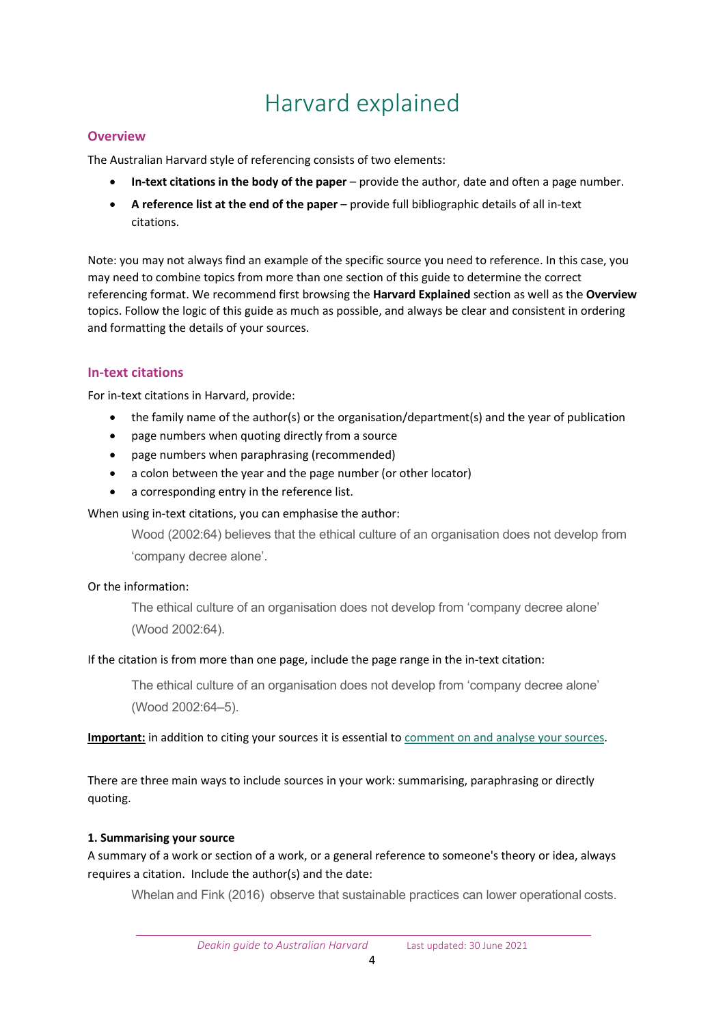## Harvard explained

## <span id="page-3-1"></span><span id="page-3-0"></span>**Overview**

The Australian Harvard style of referencing consists of two elements:

- **In-text citations in the body of the paper** provide the author, date and often a page number.
- **A reference list at the end of the paper** provide full bibliographic details of all in-text citations.

Note: you may not always find an example of the specific source you need to reference. In this case, you may need to combine topics from more than one section of this guide to determine the correct referencing format. We recommend first browsing the **Harvard Explained** section as well as the **Overview** topics. Follow the logic of this guide as much as possible, and always be clear and consistent in ordering and formatting the details of your sources.

## <span id="page-3-2"></span>**In-text citations**

For in-text citations in Harvard, provide:

- the family name of the author(s) or the organisation/department(s) and the year of publication
- page numbers when quoting directly from a source
- page numbers when paraphrasing (recommended)
- a colon between the year and the page number (or other locator)
- a corresponding entry in the reference list.

## When using in-text citations, you can emphasise the author:

Wood (2002:64) believes that the ethical culture of an organisation does not develop from 'company decree alone'.

## Or the information:

The ethical culture of an organisation does not develop from 'company decree alone' (Wood 2002:64).

## If the citation is from more than one page, include the page range in the in-text citation:

The ethical culture of an organisation does not develop from 'company decree alone' (Wood 2002:64–5).

**Important:** in addition to citing your sources it is essential to comment on [and analyse your sources.](https://www.deakin.edu.au/students/studying/study-support/referencing/referencing-explained/using-sources)

There are three main ways to include sources in your work: summarising, paraphrasing or directly quoting.

## **1. Summarising your source**

A summary of a work or section of a work, or a general reference to someone's theory or idea, always requires a citation. Include the author(s) and the date:

Whelan and Fink (2016) observe that sustainable practices can lower operational costs.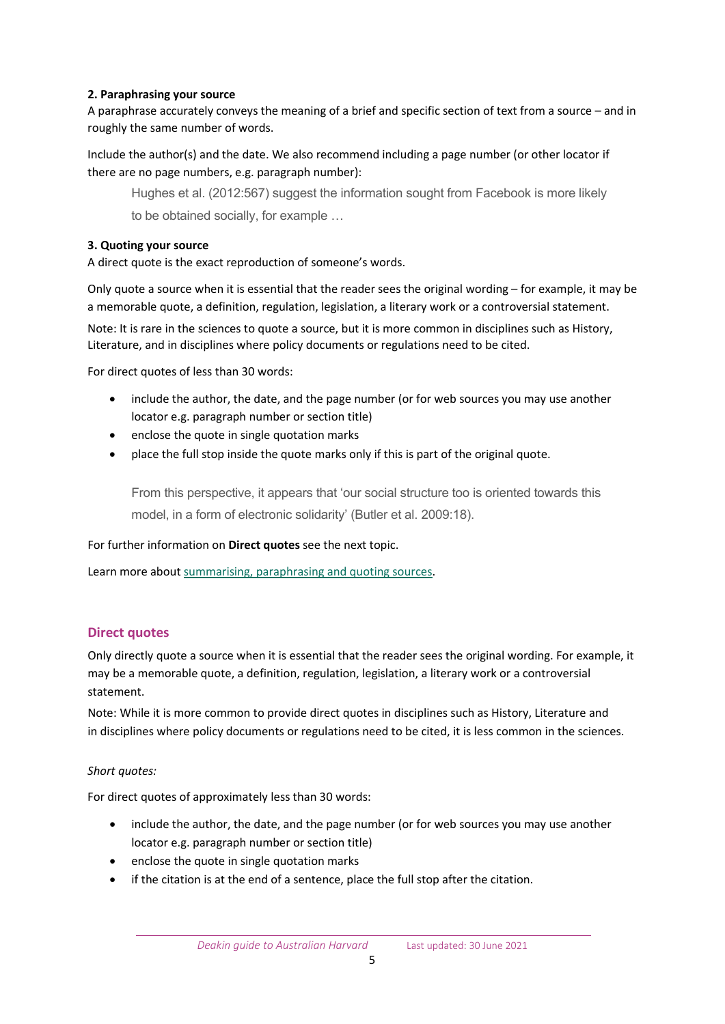## **2. Paraphrasing your source**

A paraphrase accurately conveys the meaning of a brief and specific section of text from a source – and in roughly the same number of words.

Include the author(s) and the date. We also recommend including a page number (or other locator if there are no page numbers, e.g. paragraph number):

Hughes et al. (2012:567) suggest the information sought from Facebook is more likely to be obtained socially, for example …

#### **3. Quoting your source**

A direct quote is the exact reproduction of someone's words.

Only quote a source when it is essential that the reader sees the original wording – for example, it may be a memorable quote, a definition, regulation, legislation, a literary work or a controversial statement.

Note: It is rare in the sciences to quote a source, but it is more common in disciplines such as History, Literature, and in disciplines where policy documents or regulations need to be cited.

For direct quotes of less than 30 words:

- include the author, the date, and the page number (or for web sources you may use another locator e.g. paragraph number or section title)
- enclose the quote in single quotation marks
- place the full stop inside the quote marks only if this is part of the original quote.

From this perspective, it appears that 'our social structure too is oriented towards this model, in a form of electronic solidarity' (Butler et al. 2009:18).

#### For further information on **Direct quotes** see the next topic.

Learn more about [summarising, paraphrasing and quoting sources.](https://www.deakin.edu.au/students/studying/study-support/referencing/referencing-explained/using-sources)

## <span id="page-4-0"></span>**Direct quotes**

Only directly quote a source when it is essential that the reader sees the original wording. For example, it may be a memorable quote, a definition, regulation, legislation, a literary work or a controversial statement.

Note: While it is more common to provide direct quotes in disciplines such as History, Literature and in disciplines where policy documents or regulations need to be cited, it is less common in the sciences.

#### *Short quotes:*

For direct quotes of approximately less than 30 words:

- include the author, the date, and the page number (or for web sources you may use another locator e.g. paragraph number or section title)
- enclose the quote in single quotation marks
- if the citation is at the end of a sentence, place the full stop after the citation.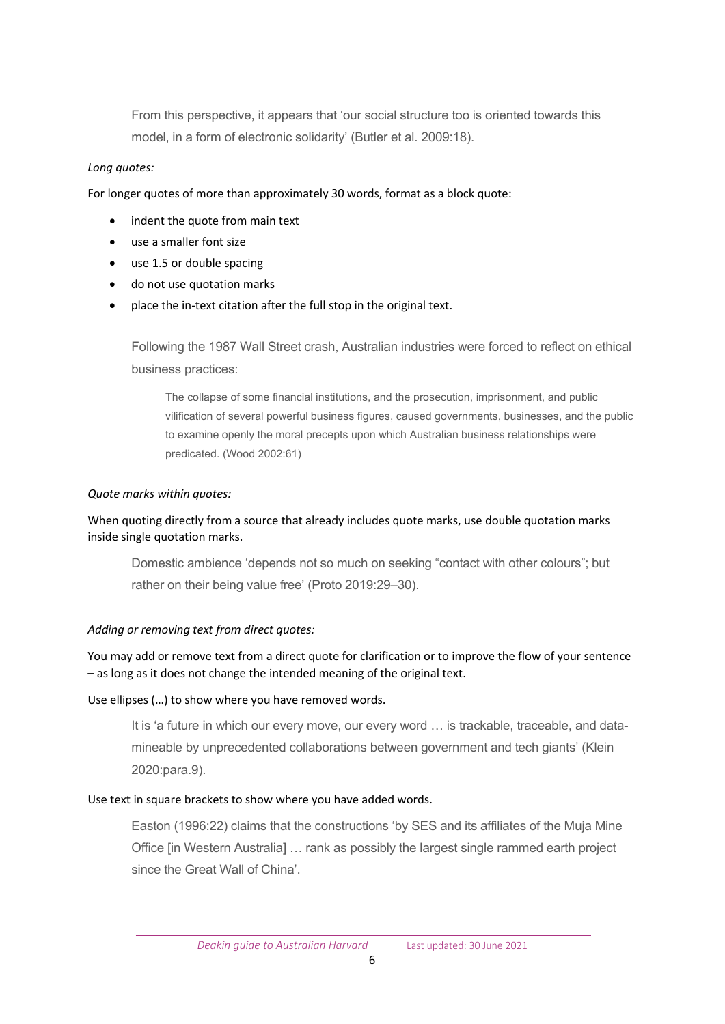From this perspective, it appears that 'our social structure too is oriented towards this model, in a form of electronic solidarity' (Butler et al. 2009:18).

## *Long quotes:*

For longer quotes of more than approximately 30 words, format as a block quote:

- indent the quote from main text
- use a smaller font size
- use 1.5 or double spacing
- do not use quotation marks
- place the in-text citation after the full stop in the original text.

Following the 1987 Wall Street crash, Australian industries were forced to reflect on ethical business practices:

The collapse of some financial institutions, and the prosecution, imprisonment, and public vilification of several powerful business figures, caused governments, businesses, and the public to examine openly the moral precepts upon which Australian business relationships were predicated. (Wood 2002:61)

## *Quote marks within quotes:*

## When quoting directly from a source that already includes quote marks, use double quotation marks inside single quotation marks.

Domestic ambience 'depends not so much on seeking "contact with other colours"; but rather on their being value free' (Proto 2019:29–30).

## *Adding or removing text from direct quotes:*

You may add or remove text from a direct quote for clarification or to improve the flow of your sentence – as long as it does not change the intended meaning of the original text.

## Use ellipses (…) to show where you have removed words.

It is 'a future in which our every move, our every word … is trackable, traceable, and datamineable by unprecedented collaborations between government and tech giants' (Klein 2020:para.9).

## Use text in square brackets to show where you have added words.

Easton (1996:22) claims that the constructions 'by SES and its affiliates of the Muja Mine Office [in Western Australia] … rank as possibly the largest single rammed earth project since the Great Wall of China'.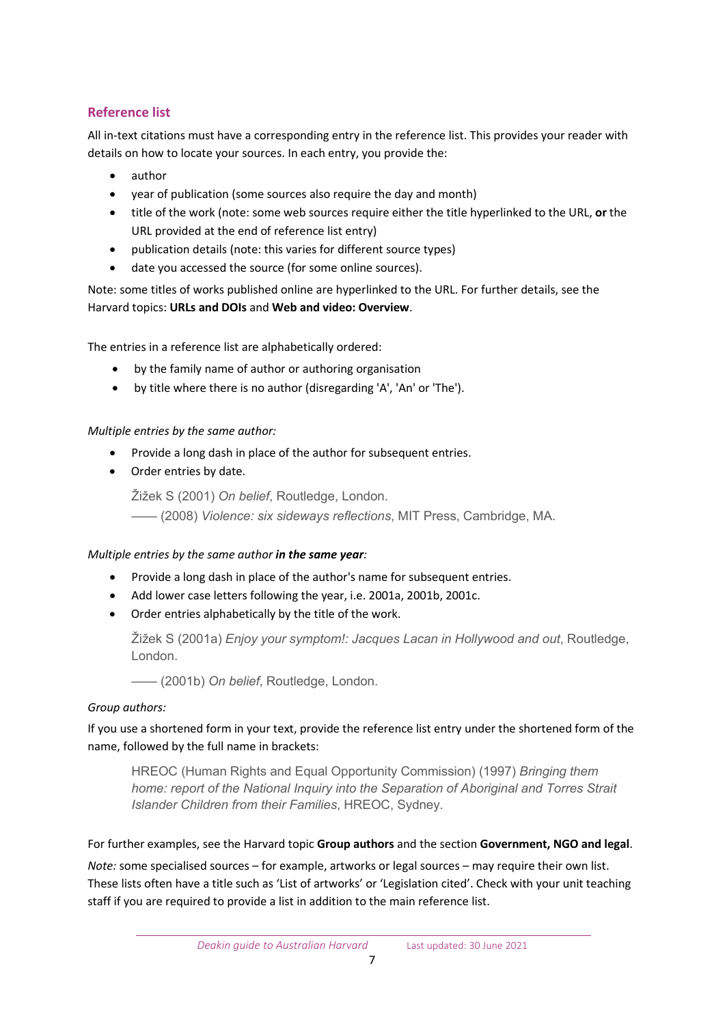## <span id="page-6-0"></span>**Reference list**

All in-text citations must have a corresponding entry in the reference list. This provides your reader with details on how to locate your sources. In each entry, you provide the:

- author
- year of publication (some sources also require the day and month)
- title of the work (note: some web sources require either the title hyperlinked to the URL, **or** the URL provided at the end of reference list entry)
- publication details (note: this varies for different source types)
- date you accessed the source (for some online sources).

Note: some titles of works published online are hyperlinked to the URL. For further details, see the Harvard topics: **URLs and DOIs** and **Web and video: Overview**.

The entries in a reference list are alphabetically ordered:

- by the family name of author or authoring organisation
- by title where there is no author (disregarding 'A', 'An' or 'The').

## *Multiple entries by the same author:*

- Provide a long dash in place of the author for subsequent entries.
- Order entries by date.

Žižek S (2001) *On belief*, Routledge, London.

—— (2008) *Violence: six sideways reflections*, MIT Press, Cambridge, MA.

## *Multiple entries by the same author in the same year:*

- Provide a long dash in place of the author's name for subsequent entries.
- Add lower case letters following the year, i.e. 2001a, 2001b, 2001c.
- Order entries alphabetically by the title of the work.

Žižek S (2001a) *Enjoy your symptom!: Jacques Lacan in Hollywood and out*, Routledge, London.

—— (2001b) *On belief*, Routledge, London.

## *Group authors:*

If you use a shortened form in your text, provide the reference list entry under the shortened form of the name, followed by the full name in brackets:

HREOC (Human Rights and Equal Opportunity Commission) (1997) *Bringing them home: report of the National Inquiry into the Separation of Aboriginal and Torres Strait Islander Children from their Families*, HREOC, Sydney.

For further examples, see the Harvard topic **Group authors** and the section **Government, NGO and legal**.

*Note:* some specialised sources – for example, artworks or legal sources – may require their own list. These lists often have a title such as 'List of artworks' or 'Legislation cited'. Check with your unit teaching staff if you are required to provide a list in addition to the main reference list.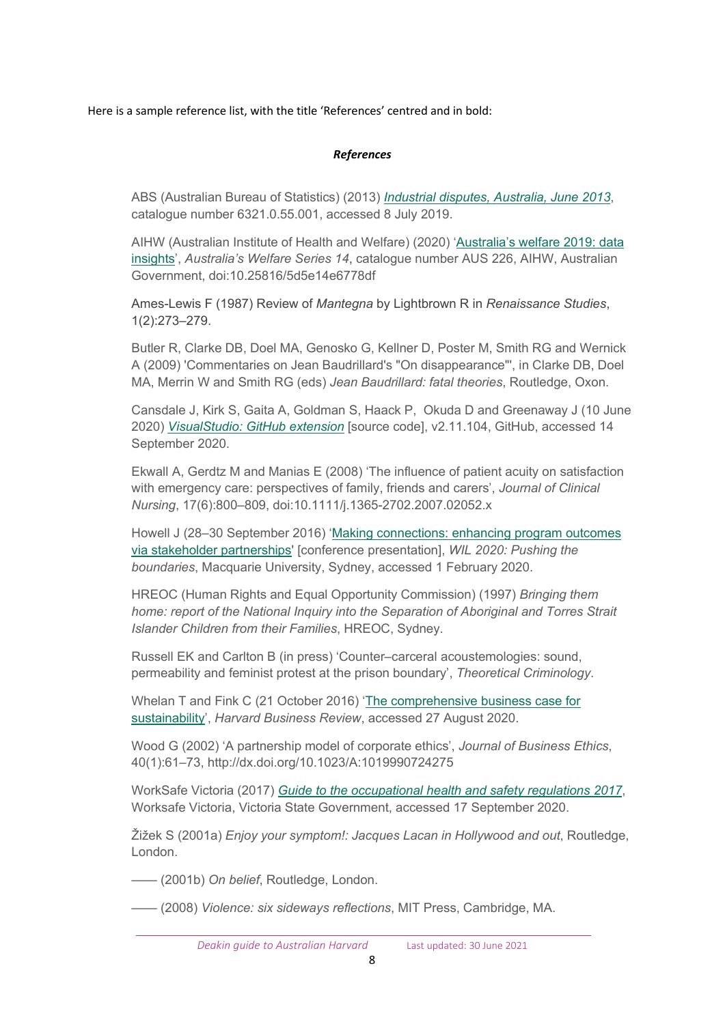Here is a sample reference list, with the title 'References' centred and in bold:

## *References*

ABS (Australian Bureau of Statistics) (2013) *[Industrial disputes, Australia, June 2013](https://www.abs.gov.au/AUSSTATS/abs@.nsf/Lookup/6321.0.55.001Main+Features1Jun%202013)*, catalogue number 6321.0.55.001, accessed 8 July 2019.

AIHW (Australian Institute of Health and Welfare) (2020) '[Australia's welfare 2019: data](https://www.aihw.gov.au/reports/australias-welfare/australias-welfare-2019-data-insights/contents/summary)  [insights'](https://www.aihw.gov.au/reports/australias-welfare/australias-welfare-2019-data-insights/contents/summary), *Australia's Welfare Series 14*, catalogue number AUS 226, AIHW, Australian Government, doi:10.25816/5d5e14e6778df

Ames-Lewis F (1987) Review of *Mantegna* by Lightbrown R in *Renaissance Studies*, 1(2):273–279.

Butler R, Clarke DB, Doel MA, Genosko G, Kellner D, Poster M, Smith RG and Wernick A (2009) 'Commentaries on Jean Baudrillard's "On disappearance"', in Clarke DB, Doel MA, Merrin W and Smith RG (eds) *Jean Baudrillard: fatal theories*, Routledge, Oxon.

Cansdale J, Kirk S, Gaita A, Goldman S, Haack P, Okuda D and Greenaway J (10 June 2020) *[VisualStudio: GitHub extension](https://github.com/github/VisualStudio)* [source code], v2.11.104, GitHub, accessed 14 September 2020.

Ekwall A, Gerdtz M and Manias E (2008) 'The influence of patient acuity on satisfaction with emergency care: perspectives of family, friends and carers', *Journal of Clinical Nursing*, 17(6):800–809, doi:10.1111/j.1365-2702.2007.02052.x

Howell J (28–30 September 2016) ['Making connections: enhancing program outcomes](http://acen.edu.au/resources/2016-conference-proceeedings/)  [via stakeholder partnerships](http://acen.edu.au/resources/2016-conference-proceeedings/)' [conference presentation], *WIL 2020: Pushing the boundaries*, Macquarie University, Sydney, accessed 1 February 2020.

HREOC (Human Rights and Equal Opportunity Commission) (1997) *Bringing them home: report of the National Inquiry into the Separation of Aboriginal and Torres Strait Islander Children from their Families*, HREOC, Sydney.

Russell EK and Carlton B (in press) 'Counter–carceral acoustemologies: sound, permeability and feminist protest at the prison boundary', *Theoretical Criminology*.

Whelan T and Fink C (21 October 2016) ['The comprehensive business case for](https://hbr.org/2016/10/the-comprehensive-business-case-for-sustainability)  [sustainability'](https://hbr.org/2016/10/the-comprehensive-business-case-for-sustainability), *Harvard Business Review*, accessed 27 August 2020.

Wood G (2002) 'A partnership model of corporate ethics', *Journal of Business Ethics*, 40(1):61–73, http://dx.doi.org/10.1023/A:1019990724275

WorkSafe Victoria (2017) *[Guide to the occupational health and safety regulations 2017](https://content.api.worksafe.vic.gov.au/sites/default/files/2018-06/ISBN-Guide-to-ohs-regulations-2017-06-02.pdf)*, Worksafe Victoria, Victoria State Government, accessed 17 September 2020.

Žižek S (2001a) *Enjoy your symptom!: Jacques Lacan in Hollywood and out*, Routledge, London.

—— (2001b) *On belief*, Routledge, London.

—— (2008) *Violence: six sideways reflections*, MIT Press, Cambridge, MA.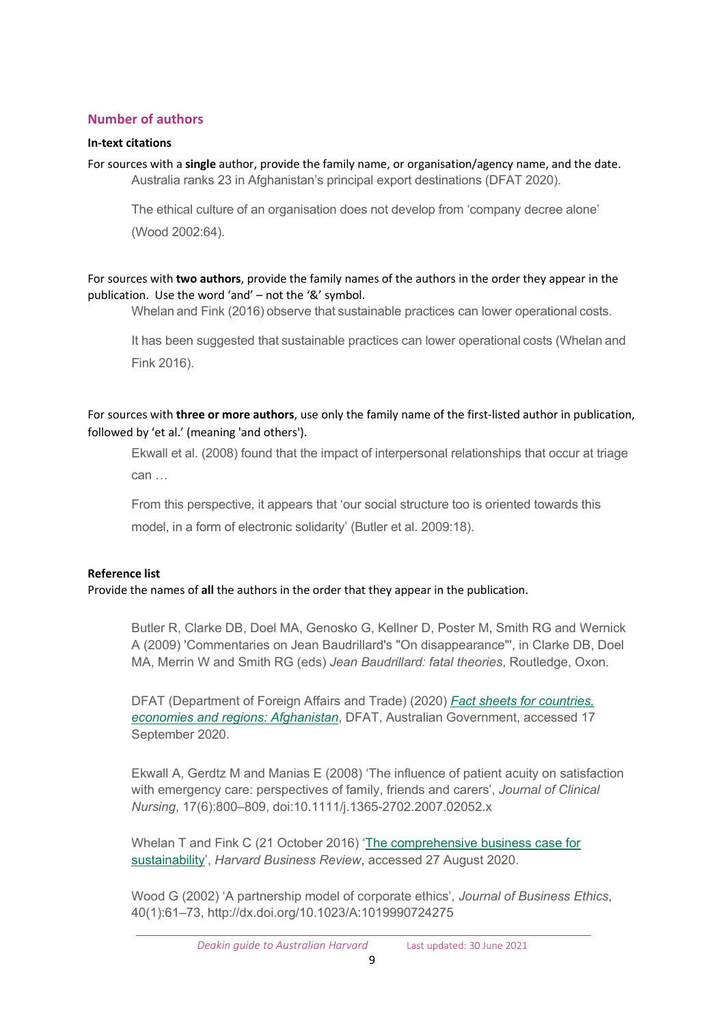## <span id="page-8-0"></span>**Number of authors**

## **In-text citations**

For sources with a **single** author, provide the family name, or organisation/agency name, and the date. Australia ranks 23 in Afghanistan's principal export destinations (DFAT 2020).

The ethical culture of an organisation does not develop from 'company decree alone' (Wood 2002:64).

## For sources with **two authors**, provide the family names of the authors in the order they appear in the publication. Use the word 'and' – not the '&' symbol.

Whelan and Fink (2016) observe that sustainable practices can lower operational costs.

It has been suggested that sustainable practices can lower operational costs (Whelan and Fink 2016).

For sources with **three or more authors**, use only the family name of the first-listed author in publication, followed by 'et al.' (meaning 'and others').

Ekwall et al. (2008) found that the impact of interpersonal relationships that occur at triage can …

From this perspective, it appears that 'our social structure too is oriented towards this model, in a form of electronic solidarity' (Butler et al. 2009:18).

## **Reference list**

Provide the names of **all** the authors in the order that they appear in the publication.

Butler R, Clarke DB, Doel MA, Genosko G, Kellner D, Poster M, Smith RG and Wernick A (2009) 'Commentaries on Jean Baudrillard's "On disappearance"', in Clarke DB, Doel MA, Merrin W and Smith RG (eds) *Jean Baudrillard: fatal theories*, Routledge, Oxon.

DFAT (Department of Foreign Affairs and Trade) (2020) *[Fact sheets for countries,](https://www.dfat.gov.au/trade/resources/Pages/trade-and-economic-fact-sheets-for-countries-economies-and-regions)  economies [and regions:](https://www.dfat.gov.au/trade/resources/Pages/trade-and-economic-fact-sheets-for-countries-economies-and-regions) Afghanistan*, DFAT, Australian Government, accessed 17 September 2020.

Ekwall A, Gerdtz M and Manias E (2008) 'The influence of patient acuity on satisfaction with emergency care: perspectives of family, friends and carers', *Journal of Clinical Nursing*, 17(6):800–809, doi:10.1111/j.1365-2702.2007.02052.x

Whelan T and Fink C (21 October 2016) ['The comprehensive business case for](https://hbr.org/2016/10/the-comprehensive-business-case-for-sustainability)  [sustainability'](https://hbr.org/2016/10/the-comprehensive-business-case-for-sustainability), *Harvard Business Review*, accessed 27 August 2020.

Wood G (2002) 'A partnership model of corporate ethics', *Journal of Business Ethics*, 40(1):61–73, http://dx.doi.org/10.1023/A:1019990724275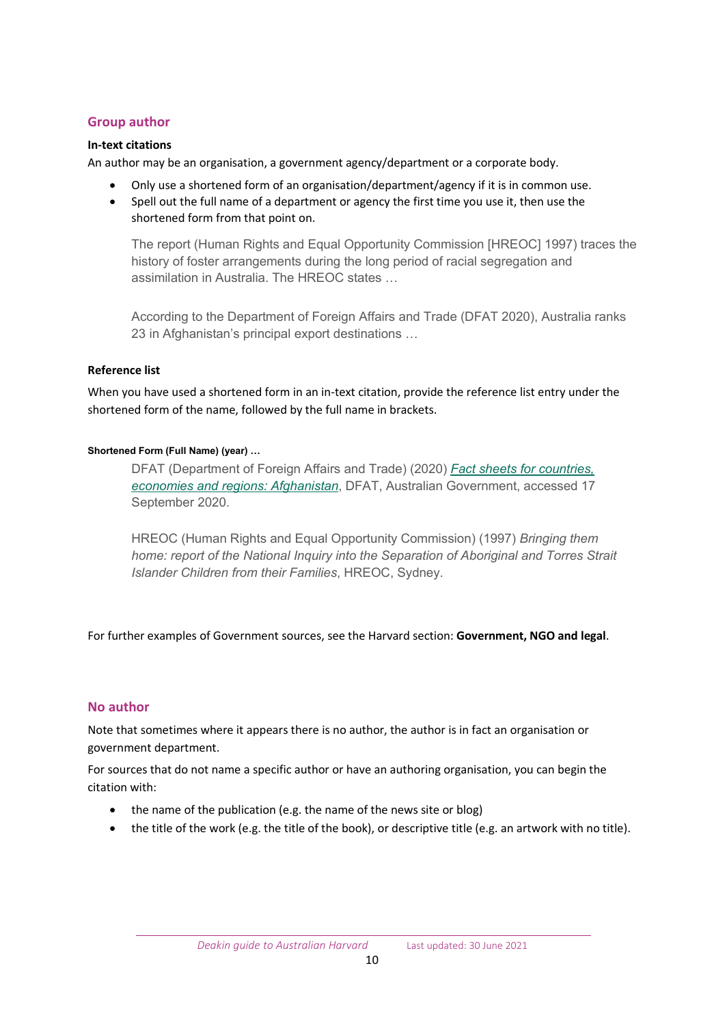## <span id="page-9-0"></span>**Group author**

## **In-text citations**

An author may be an organisation, a government agency/department or a corporate body.

- Only use a shortened form of an organisation/department/agency if it is in common use.
- Spell out the full name of a department or agency the first time you use it, then use the shortened form from that point on.

The report (Human Rights and Equal Opportunity Commission [HREOC] 1997) traces the history of foster arrangements during the long period of racial segregation and assimilation in Australia. The HREOC states …

According to the Department of Foreign Affairs and Trade (DFAT 2020), Australia ranks 23 in Afghanistan's principal export destinations …

## **Reference list**

When you have used a shortened form in an in-text citation, provide the reference list entry under the shortened form of the name, followed by the full name in brackets.

## **Shortened Form (Full Name) (year) …**

DFAT (Department of Foreign Affairs and Trade) (2020) *[Fact sheets for countries,](https://www.dfat.gov.au/trade/resources/Pages/trade-and-economic-fact-sheets-for-countries-economies-and-regions)  economies [and regions:](https://www.dfat.gov.au/trade/resources/Pages/trade-and-economic-fact-sheets-for-countries-economies-and-regions) Afghanistan*, DFAT, Australian Government, accessed 17 September 2020.

HREOC (Human Rights and Equal Opportunity Commission) (1997) *Bringing them home: report of the National Inquiry into the Separation of Aboriginal and Torres Strait Islander Children from their Families*, HREOC, Sydney.

For further examples of Government sources, see the Harvard section: **Government, NGO and legal**.

## <span id="page-9-1"></span>**No author**

Note that sometimes where it appears there is no author, the author is in fact an organisation or government department.

For sources that do not name a specific author or have an authoring organisation, you can begin the citation with:

- the name of the publication (e.g. the name of the news site or blog)
- the title of the work (e.g. the title of the book), or descriptive title (e.g. an artwork with no title).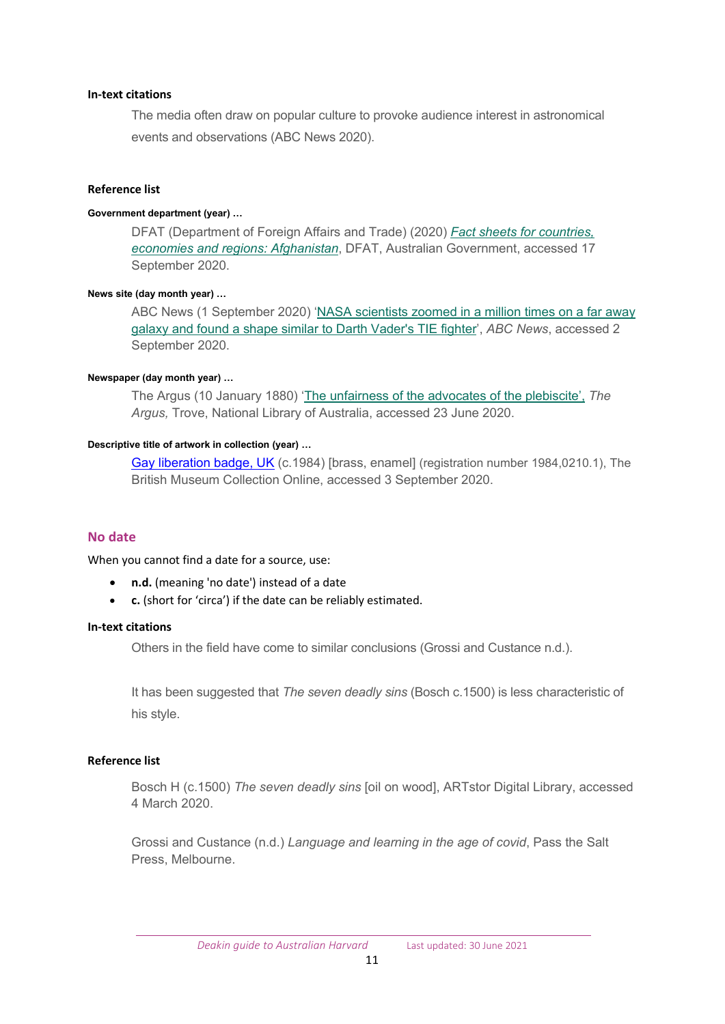#### **In-text citations**

The media often draw on popular culture to provoke audience interest in astronomical events and observations (ABC News 2020).

#### **Reference list**

#### **Government department (year) …**

DFAT (Department of Foreign Affairs and Trade) (2020) *[Fact sheets for countries,](https://www.dfat.gov.au/trade/resources/Pages/trade-and-economic-fact-sheets-for-countries-economies-and-regions)  economies [and regions:](https://www.dfat.gov.au/trade/resources/Pages/trade-and-economic-fact-sheets-for-countries-economies-and-regions) Afghanistan*, DFAT, Australian Government, accessed 17 September 2020.

#### **News site (day month year) …**

ABC News (1 September 2020) '[NASA scientists zoomed in a million times on a far away](https://www.abc.net.au/news/2020-09-01/nasa-finds-darth-vader-tie-fighter-while-mapping-far-away-galaxy/12615782)  [galaxy and found a shape similar to Darth Vader's TIE fighter](https://www.abc.net.au/news/2020-09-01/nasa-finds-darth-vader-tie-fighter-while-mapping-far-away-galaxy/12615782)', *ABC News*, accessed 2 September 2020.

#### **Newspaper (day month year) …**

The Argus (10 January 1880) ['The unfairness of the advocates of the plebiscite',](https://trove.nla.gov.au/newspaper/title/13) *The Argus,* Trove, National Library of Australia, accessed 23 June 2020.

#### **Descriptive title of artwork in collection (year) …**

Gay liberation badge, UK (c.1984) [brass, enamel] (registration number 1984,0210.1), The British Museum Collection Online, accessed 3 September 2020.

#### <span id="page-10-0"></span>**No date**

When you cannot find a date for a source, use:

- **n.d.** (meaning 'no date') instead of a date
- **c.** (short for 'circa') if the date can be reliably estimated.

#### **In-text citations**

Others in the field have come to similar conclusions (Grossi and Custance n.d.).

It has been suggested that *The seven deadly sins* (Bosch c.1500) is less characteristic of his style.

#### **Reference list**

Bosch H (c.1500) *The seven deadly sins* [oil on wood], ARTstor Digital Library, accessed 4 March 2020.

Grossi and Custance (n.d.) *Language and learning in the age of covid*, Pass the Salt Press, Melbourne.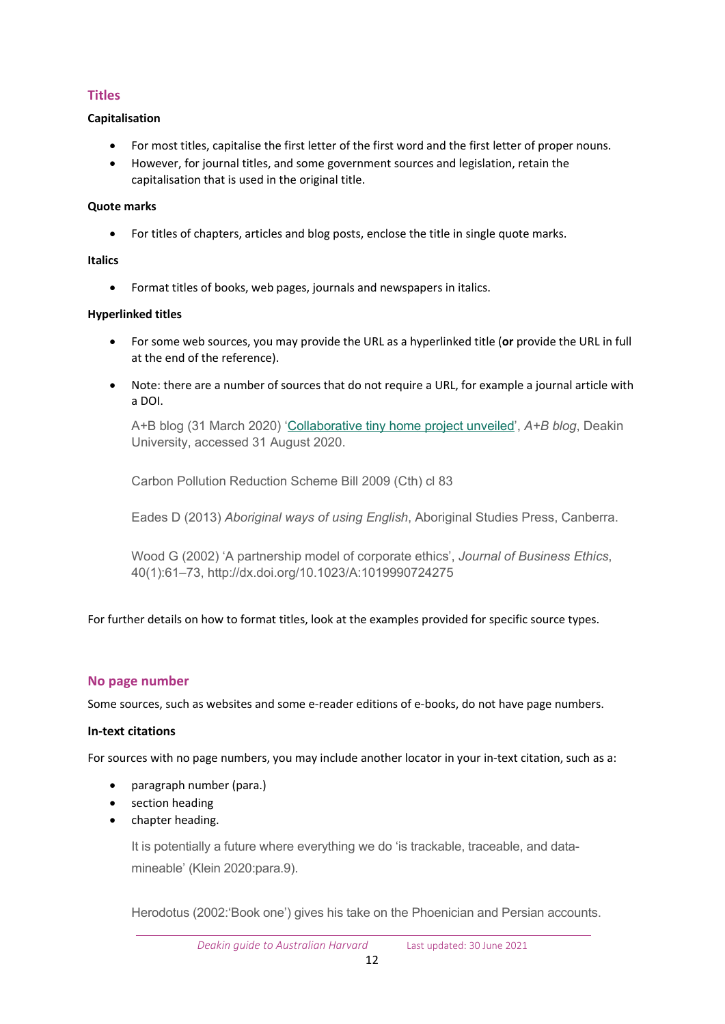## <span id="page-11-0"></span>**Titles**

## **Capitalisation**

- For most titles, capitalise the first letter of the first word and the first letter of proper nouns.
- However, for journal titles, and some government sources and legislation, retain the capitalisation that is used in the original title.

## **Quote marks**

• For titles of chapters, articles and blog posts, enclose the title in single quote marks.

## **Italics**

• Format titles of books, web pages, journals and newspapers in italics.

## **Hyperlinked titles**

- For some web sources, you may provide the URL as a hyperlinked title (**or** provide the URL in full at the end of the reference).
- Note: there are a number of sources that do not require a URL, for example a journal article with a DOI.

A+B blog (31 March 2020) '[Collaborative tiny home project unveiled',](https://blogs.deakin.edu.au/ab/2020/03/31/collaborative-tiny-home-project-unveiled/) *A+B blog*, Deakin University, accessed 31 August 2020.

Carbon Pollution Reduction Scheme Bill 2009 (Cth) cl 83

Eades D (2013) *Aboriginal ways of using English*, Aboriginal Studies Press, Canberra.

Wood G (2002) 'A partnership model of corporate ethics', *Journal of Business Ethics*, 40(1):61–73, http://dx.doi.org/10.1023/A:1019990724275

For further details on how to format titles, look at the examples provided for specific source types.

## <span id="page-11-1"></span>**No page number**

Some sources, such as websites and some e-reader editions of e-books, do not have page numbers.

## **In-text citations**

For sources with no page numbers, you may include another locator in your in-text citation, such as a:

- paragraph number (para.)
- section heading
- chapter heading.

It is potentially a future where everything we do 'is trackable, traceable, and datamineable' (Klein 2020:para.9).

 $\overline{a}$ Herodotus (2002:'Book one') gives his take on the Phoenician and Persian accounts.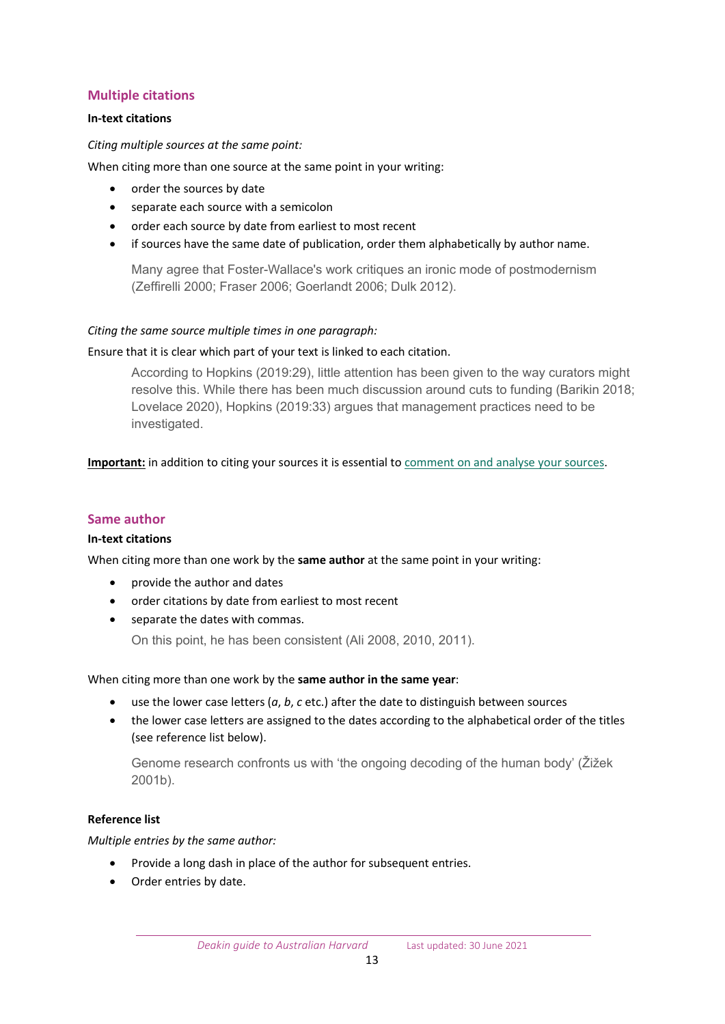## <span id="page-12-0"></span>**Multiple citations**

## **In-text citations**

#### *Citing multiple sources at the same point:*

When citing more than one source at the same point in your writing:

- order the sources by date
- separate each source with a semicolon
- order each source by date from earliest to most recent
- if sources have the same date of publication, order them alphabetically by author name.

Many agree that Foster-Wallace's work critiques an ironic mode of postmodernism (Zeffirelli 2000; Fraser 2006; Goerlandt 2006; Dulk 2012).

## *Citing the same source multiple times in one paragraph:*

## Ensure that it is clear which part of your text is linked to each citation.

According to Hopkins (2019:29), little attention has been given to the way curators might resolve this. While there has been much discussion around cuts to funding (Barikin 2018; Lovelace 2020), Hopkins (2019:33) argues that management practices need to be investigated.

**Important:** in addition to citing your sources it is essential to [comment on and analyse your sources.](https://www.deakin.edu.au/students/studying/study-support/referencing/referencing-explained/using-sources)

## <span id="page-12-1"></span>**Same author**

#### **In-text citations**

When citing more than one work by the **same author** at the same point in your writing:

- provide the author and dates
- order citations by date from earliest to most recent
- separate the dates with commas.

On this point, he has been consistent (Ali 2008, 2010, 2011).

#### When citing more than one work by the **same author in the same year**:

- use the lower case letters (*a*, *b*, *c* etc.) after the date to distinguish between sources
- the lower case letters are assigned to the dates according to the alphabetical order of the titles (see reference list below).

Genome research confronts us with 'the ongoing decoding of the human body' (Žižek 2001b).

#### **Reference list**

*Multiple entries by the same author:*

- Provide a long dash in place of the author for subsequent entries.
- Order entries by date.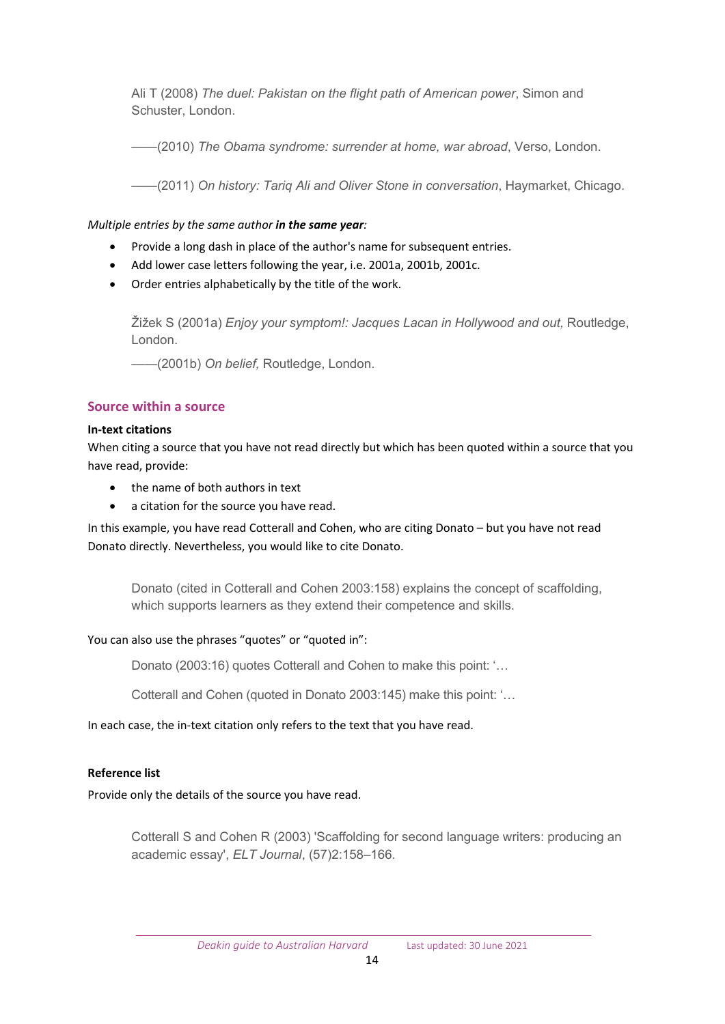Ali T (2008) *The duel: Pakistan on the flight path of American power*, Simon and Schuster, London.

——(2010) *The Obama syndrome: surrender at home, war abroad*, Verso, London.

——(2011) *On history: Tariq Ali and Oliver Stone in conversation*, Haymarket, Chicago.

## *Multiple entries by the same author in the same year:*

- Provide a long dash in place of the author's name for subsequent entries.
- Add lower case letters following the year, i.e. 2001a, 2001b, 2001c.
- Order entries alphabetically by the title of the work.

Žižek S (2001a) *Enjoy your symptom!: Jacques Lacan in Hollywood and out,* Routledge, London.

——(2001b) *On belief,* Routledge, London.

## <span id="page-13-0"></span>**Source within a source**

## **In-text citations**

When citing a source that you have not read directly but which has been quoted within a source that you have read, provide:

- the name of both authors in text
- a citation for the source you have read.

In this example, you have read Cotterall and Cohen, who are citing Donato – but you have not read Donato directly. Nevertheless, you would like to cite Donato.

Donato (cited in Cotterall and Cohen 2003:158) explains the concept of scaffolding, which supports learners as they extend their competence and skills.

## You can also use the phrases "quotes" or "quoted in":

Donato (2003:16) quotes Cotterall and Cohen to make this point: '…

Cotterall and Cohen (quoted in Donato 2003:145) make this point: '…

## In each case, the in-text citation only refers to the text that you have read.

## **Reference list**

Provide only the details of the source you have read.

Cotterall S and Cohen R (2003) 'Scaffolding for second language writers: producing an academic essay', *ELT Journal*, (57)2:158–166.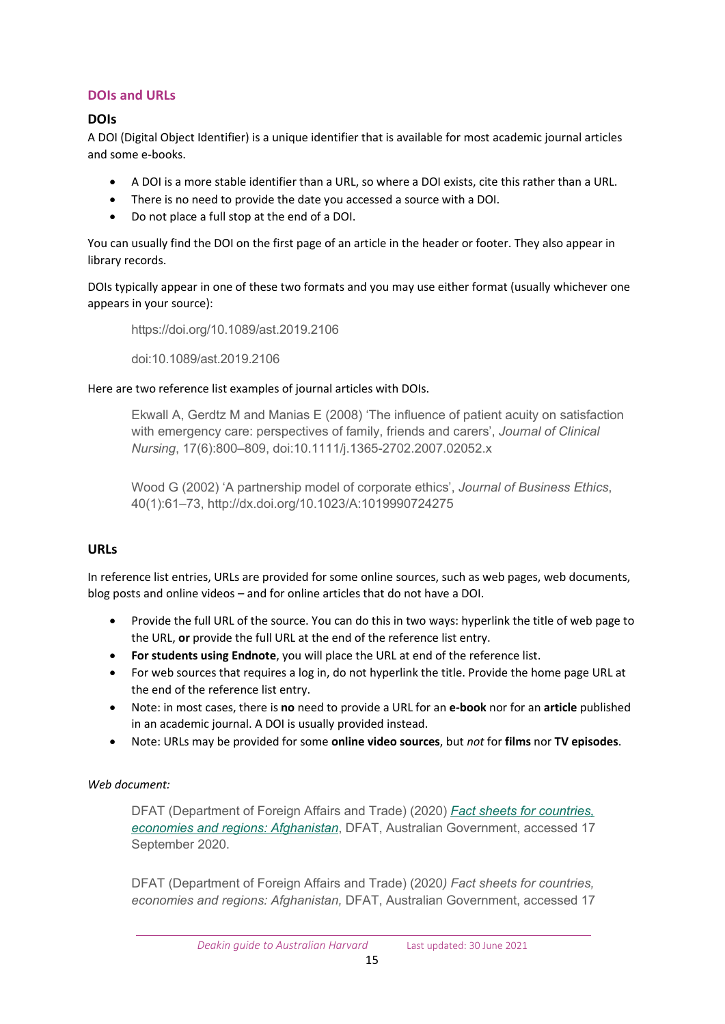## <span id="page-14-0"></span>**DOIs and URLs**

## **DOIs**

A DOI (Digital Object Identifier) is a unique identifier that is available for most academic journal articles and some e-books.

- A DOI is a more stable identifier than a URL, so where a DOI exists, cite this rather than a URL.
- There is no need to provide the date you accessed a source with a DOI.
- Do not place a full stop at the end of a DOI.

You can usually find the DOI on the first page of an article in the header or footer. They also appear in library records.

DOIs typically appear in one of these two formats and you may use either format (usually whichever one appears in your source):

https://doi.org/10.1089/ast.2019.2106

doi:10.1089/ast.2019.2106

## Here are two reference list examples of journal articles with DOIs.

Ekwall A, Gerdtz M and Manias E (2008) 'The influence of patient acuity on satisfaction with emergency care: perspectives of family, friends and carers', *Journal of Clinical Nursing*, 17(6):800–809, doi:10.1111/j.1365-2702.2007.02052.x

Wood G (2002) 'A partnership model of corporate ethics', *Journal of Business Ethics*, 40(1):61–73, http://dx.doi.org/10.1023/A:1019990724275

## **URLs**

In reference list entries, URLs are provided for some online sources, such as web pages, web documents, blog posts and online videos – and for online articles that do not have a DOI.

- Provide the full URL of the source. You can do this in two ways: hyperlink the title of web page to the URL, **or** provide the full URL at the end of the reference list entry.
- **For students using Endnote**, you will place the URL at end of the reference list.
- For web sources that requires a log in, do not hyperlink the title. Provide the home page URL at the end of the reference list entry.
- Note: in most cases, there is **no** need to provide a URL for an **e-book** nor for an **article** published in an academic journal. A DOI is usually provided instead.
- Note: URLs may be provided for some **online video sources**, but *not* for **films** nor **TV episodes**.

## *Web document:*

DFAT (Department of Foreign Affairs and Trade) (2020) *[Fact sheets for countries,](https://www.dfat.gov.au/trade/resources/Pages/trade-and-economic-fact-sheets-for-countries-economies-and-regions)  economies [and regions:](https://www.dfat.gov.au/trade/resources/Pages/trade-and-economic-fact-sheets-for-countries-economies-and-regions) Afghanistan*, DFAT, Australian Government, accessed 17 September 2020.

DFAT (Department of Foreign Affairs and Trade) (2020*) Fact sheets for countries, economies and regions: Afghanistan,* DFAT, Australian Government, accessed 17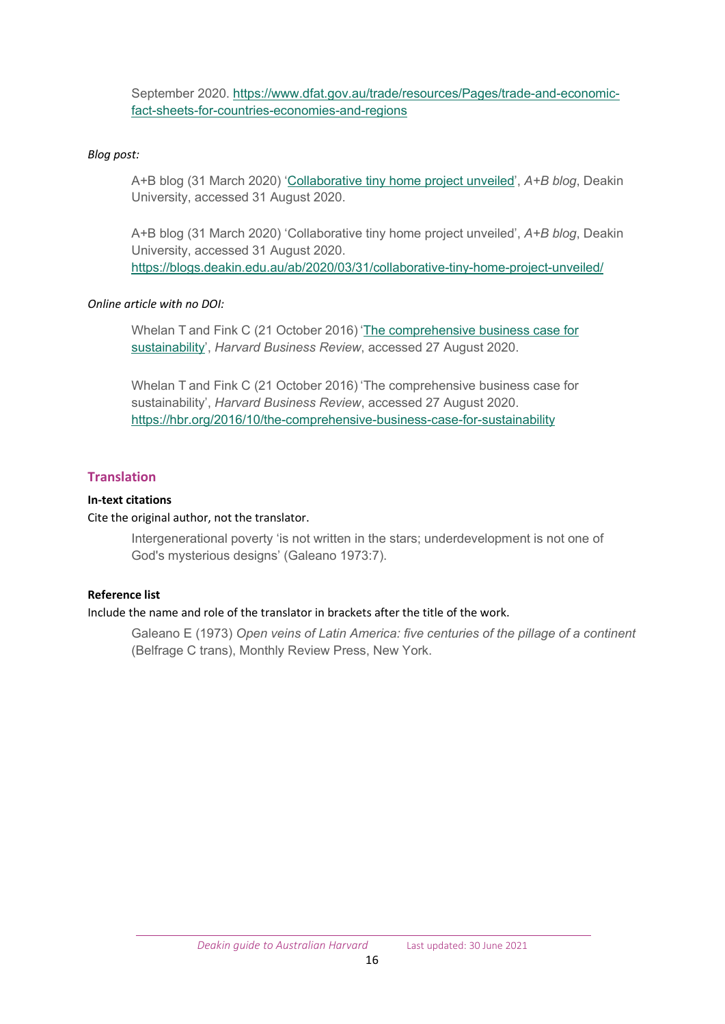September 2020. [https://www.dfat.gov.au/trade/resources/Pages/trade](https://www.dfat.gov.au/trade/resources/Pages/trade-and-economic-fact-sheets-for-countries-economies-and-regions)-and-economic[fact-sheets-for-countries-economies-and-regions](https://www.dfat.gov.au/trade/resources/Pages/trade-and-economic-fact-sheets-for-countries-economies-and-regions)

## *Blog post:*

A+B blog (31 March 2020) '[Collaborative tiny home project unveiled',](https://blogs.deakin.edu.au/ab/2020/03/31/collaborative-tiny-home-project-unveiled/) *A+B blog*, Deakin University, accessed 31 August 2020.

A+B blog (31 March 2020) 'Collaborative tiny home project unveiled', *A+B blog*, Deakin University, accessed 31 August 2020. [https://blogs.deakin.edu.au/ab/2020/03/31/collaborative](https://blogs.deakin.edu.au/ab/2020/03/31/collaborative-tiny-home-project-unveiled/)-tiny-home-project-unveiled/

#### *Online article with no DOI:*

Whelan T and Fink C (21 October 2016) '[The comprehensive business case for](https://hbr.org/2016/10/the-comprehensive-business-case-for-sustainability)  [sustainability'](https://hbr.org/2016/10/the-comprehensive-business-case-for-sustainability), *Harvard Business Review*, accessed 27 August 2020.

Whelan T and Fink C (21 October 2016) 'The comprehensive business case for sustainability', *Harvard Business Review*, accessed 27 August 2020. https://hbr.org/2016/10/the[-comprehensive-business-case-for-sustainability](https://hbr.org/2016/10/the-comprehensive-business-case-for-sustainability)

## <span id="page-15-0"></span>**Translation**

## **In-text citations**

## Cite the original author, not the translator.

Intergenerational poverty 'is not written in the stars; underdevelopment is not one of God's mysterious designs' (Galeano 1973:7).

## **Reference list**

#### Include the name and role of the translator in brackets after the title of the work.

<span id="page-15-1"></span>Galeano E (1973) *Open veins of Latin America: five centuries of the pillage of a continent* (Belfrage C trans), Monthly Review Press, New York.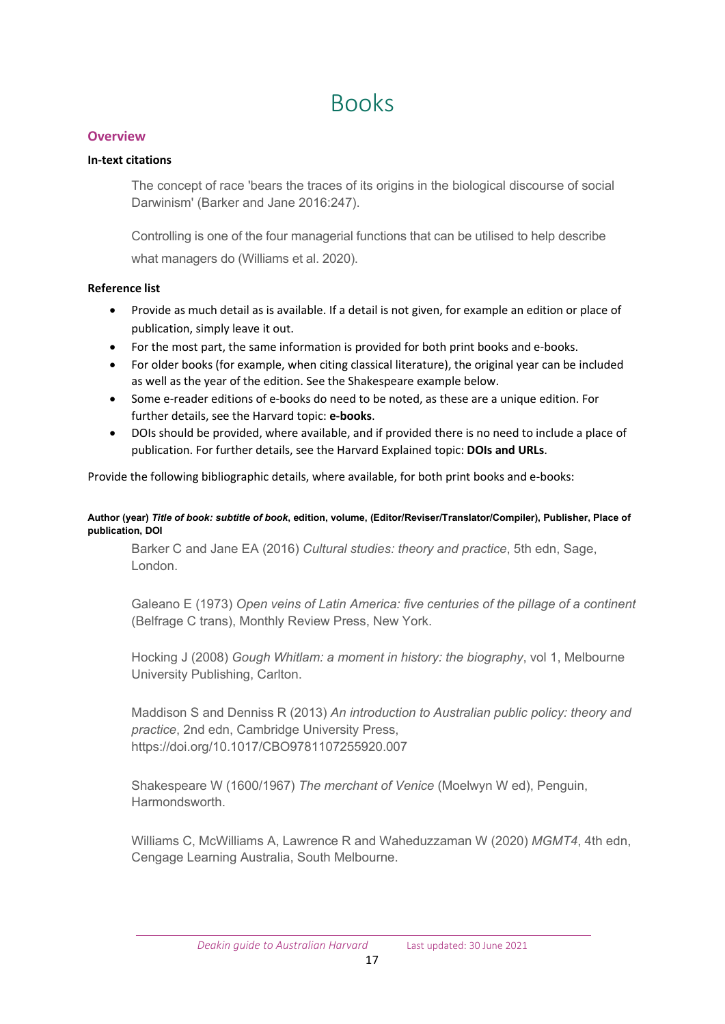## Books

## <span id="page-16-0"></span>**Overview**

## **In-text citations**

The concept of race 'bears the traces of its origins in the biological discourse of social Darwinism' (Barker and Jane 2016:247).

Controlling is one of the four managerial functions that can be utilised to help describe what managers do (Williams et al. 2020).

## **Reference list**

- Provide as much detail as is available. If a detail is not given, for example an edition or place of publication, simply leave it out.
- For the most part, the same information is provided for both print books and e-books.
- For older books (for example, when citing classical literature), the original year can be included as well as the year of the edition. See the Shakespeare example below.
- Some e-reader editions of e-books do need to be noted, as these are a unique edition. For further details, see the Harvard topic: **e-books**.
- DOIs should be provided, where available, and if provided there is no need to include a place of publication. For further details, see the Harvard Explained topic: **DOIs and URLs**.

Provide the following bibliographic details, where available, for both print books and e-books:

#### **Author (year)** *Title of book: subtitle of book***, edition, volume, (Editor/Reviser/Translator/Compiler), Publisher, Place of publication, DOI**

Barker C and Jane EA (2016) *Cultural studies: theory and practice*, 5th edn, Sage, London.

Galeano E (1973) *Open veins of Latin America: five centuries of the pillage of a continent* (Belfrage C trans), Monthly Review Press, New York.

Hocking J (2008) *Gough Whitlam: a moment in history: the biography*, vol 1, Melbourne University Publishing, Carlton.

Maddison S and Denniss R (2013) *An introduction to Australian public policy: theory and practice*, 2nd edn, Cambridge University Press, https://doi.org/10.1017/CBO9781107255920.007

Shakespeare W (1600/1967) *The merchant of Venice* (Moelwyn W ed), Penguin, Harmondsworth.

<span id="page-16-1"></span>Williams C, McWilliams A, Lawrence R and Waheduzzaman W (2020) *MGMT4*, 4th edn, Cengage Learning Australia, South Melbourne.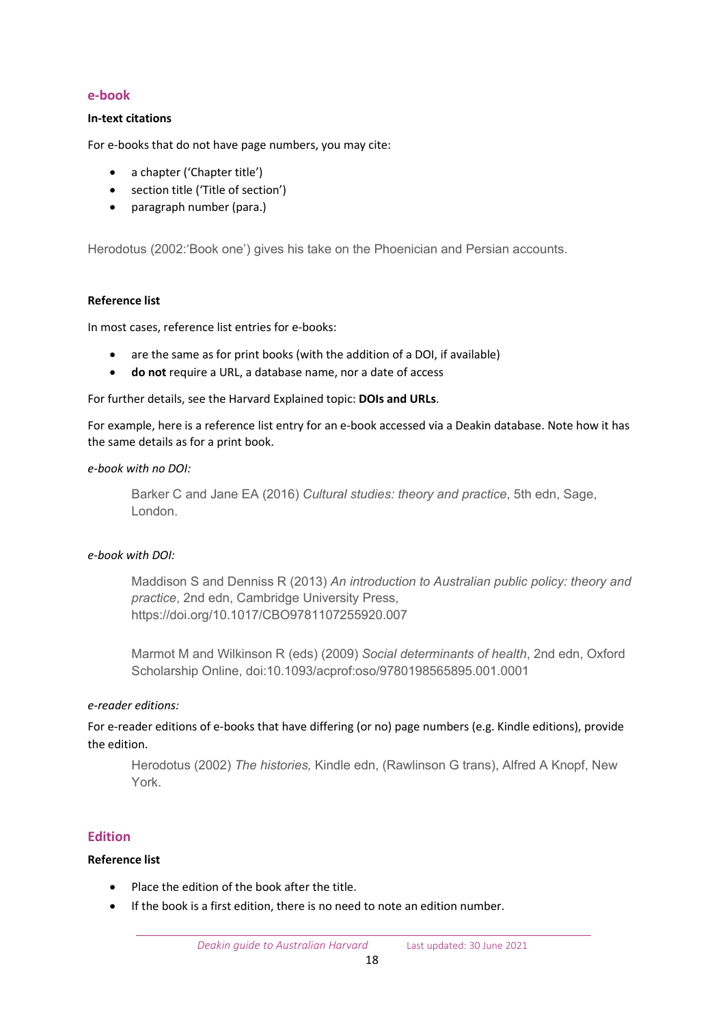#### **e-book**

#### **In-text citations**

For e-books that do not have page numbers, you may cite:

- a chapter ('Chapter title')
- section title ('Title of section')
- paragraph number (para.)

Herodotus (2002:'Book one') gives his take on the Phoenician and Persian accounts.

#### **Reference list**

In most cases, reference list entries for e-books:

- are the same as for print books (with the addition of a DOI, if available)
- **do not** require a URL, a database name, nor a date of access

For further details, see the Harvard Explained topic: **DOIs and URLs**.

For example, here is a reference list entry for an e-book accessed via a Deakin database. Note how it has the same details as for a print book.

#### *e-book with no DOI:*

Barker C and Jane EA (2016) *Cultural studies: theory and practice*, 5th edn, Sage, London.

#### *e-book with DOI:*

Maddison S and Denniss R (2013) *An introduction to Australian public policy: theory and practice*, 2nd edn, Cambridge University Press, https://doi.org/10.1017/CBO9781107255920.007

Marmot M and Wilkinson R (eds) (2009) *Social determinants of health*, 2nd edn, Oxford Scholarship Online, doi:10.1093/acprof:oso/9780198565895.001.0001

#### *e-reader editions:*

For e-reader editions of e-books that have differing (or no) page numbers (e.g. Kindle editions), provide the edition.

Herodotus (2002) *The histories,* Kindle edn, (Rawlinson G trans), Alfred A Knopf, New York.

#### <span id="page-17-0"></span>**Edition**

## **Reference list**

- Place the edition of the book after the title.
- If the book is a first edition, there is no need to note an edition number.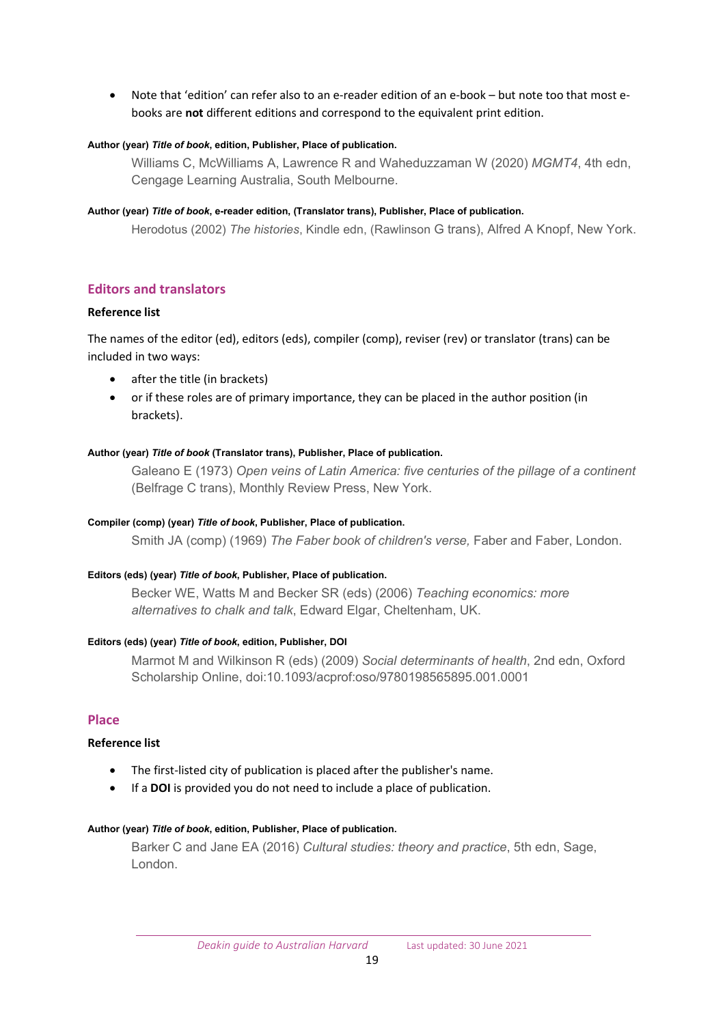• Note that 'edition' can refer also to an e-reader edition of an e-book – but note too that most ebooks are **not** different editions and correspond to the equivalent print edition.

#### **Author (year)** *Title of book***, edition, Publisher, Place of publication.**

Williams C, McWilliams A, Lawrence R and Waheduzzaman W (2020) *MGMT4*, 4th edn, Cengage Learning Australia, South Melbourne.

#### **Author (year)** *Title of book***, e-reader edition, (Translator trans), Publisher, Place of publication.**

Herodotus (2002) *The histories*, Kindle edn, (Rawlinson G trans), Alfred A Knopf, New York.

## <span id="page-18-0"></span>**Editors and translators**

#### **Reference list**

The names of the editor (ed), editors (eds), compiler (comp), reviser (rev) or translator (trans) can be included in two ways:

- after the title (in brackets)
- or if these roles are of primary importance, they can be placed in the author position (in brackets).

#### **Author (year)** *Title of book* **(Translator trans), Publisher, Place of publication.**

Galeano E (1973) *Open veins of Latin America: five centuries of the pillage of a continent* (Belfrage C trans), Monthly Review Press, New York.

#### **Compiler (comp) (year)** *Title of book***, Publisher, Place of publication.**

Smith JA (comp) (1969) *The Faber book of children's verse,* Faber and Faber, London.

#### **Editors (eds) (year)** *Title of book***, Publisher, Place of publication.**

Becker WE, Watts M and Becker SR (eds) (2006) *Teaching economics: more alternatives to chalk and talk*, Edward Elgar, Cheltenham, UK.

#### **Editors (eds) (year)** *Title of book***, edition, Publisher, DOI**

Marmot M and Wilkinson R (eds) (2009) *Social determinants of health*, 2nd edn, Oxford Scholarship Online, doi:10.1093/acprof:oso/9780198565895.001.0001

#### <span id="page-18-1"></span>**Place**

#### **Reference list**

- The first-listed city of publication is placed after the publisher's name.
- If a **DOI** is provided you do not need to include a place of publication.

#### **Author (year)** *Title of book***, edition, Publisher, Place of publication.**

Barker C and Jane EA (2016) *Cultural studies: theory and practice*, 5th edn, Sage, London.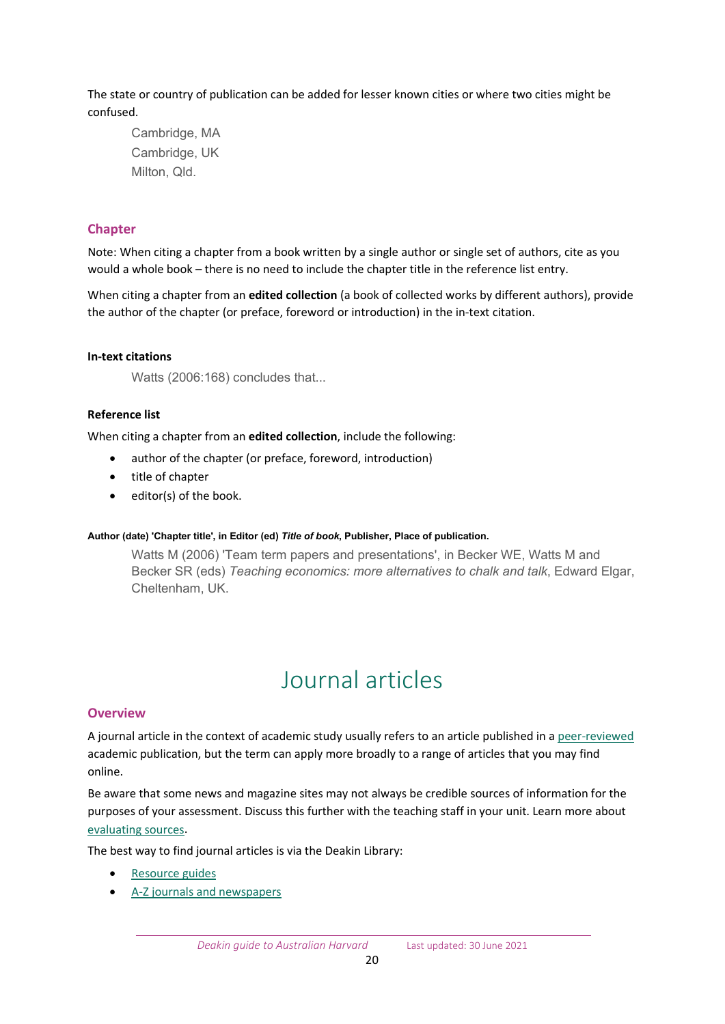The state or country of publication can be added for lesser known cities or where two cities might be confused.

Cambridge, MA Cambridge, UK Milton, Qld.

## <span id="page-19-0"></span>**Chapter**

Note: When citing a chapter from a book written by a single author or single set of authors, cite as you would a whole book – there is no need to include the chapter title in the reference list entry.

When citing a chapter from an **edited collection** (a book of collected works by different authors), provide the author of the chapter (or preface, foreword or introduction) in the in-text citation.

#### **In-text citations**

Watts (2006:168) concludes that...

## **Reference list**

When citing a chapter from an **edited collection**, include the following:

- author of the chapter (or preface, foreword, introduction)
- title of chapter
- editor(s) of the book.

#### **Author (date) 'Chapter title', in Editor (ed)** *Title of book***, Publisher, Place of publication.**

Watts M (2006) 'Team term papers and presentations', in Becker WE, Watts M and Becker SR (eds) *Teaching economics: more alternatives to chalk and talk*, Edward Elgar, Cheltenham, UK.

## Journal articles

## <span id="page-19-2"></span><span id="page-19-1"></span>**Overview**

A journal article in the context of academic study usually refers to an article published in a [peer-reviewed](https://deakin.libguides.com/peer_review/finding) academic publication, but the term can apply more broadly to a range of articles that you may find online.

Be aware that some news and magazine sites may not always be credible sources of information for the purposes of your assessment. Discuss this further with the teaching staff in your unit. Learn more about [evaluating sources.](https://www.deakin.edu.au/library/skills-for-study/evaluating-information)

The best way to find journal articles is via the Deakin Library:

- [Resource](https://www.deakin.edu.au/library/help/resource-guides) guides
- A-Z journals [and newspapers](https://www.deakin.edu.au/library/journals-and-newspapers)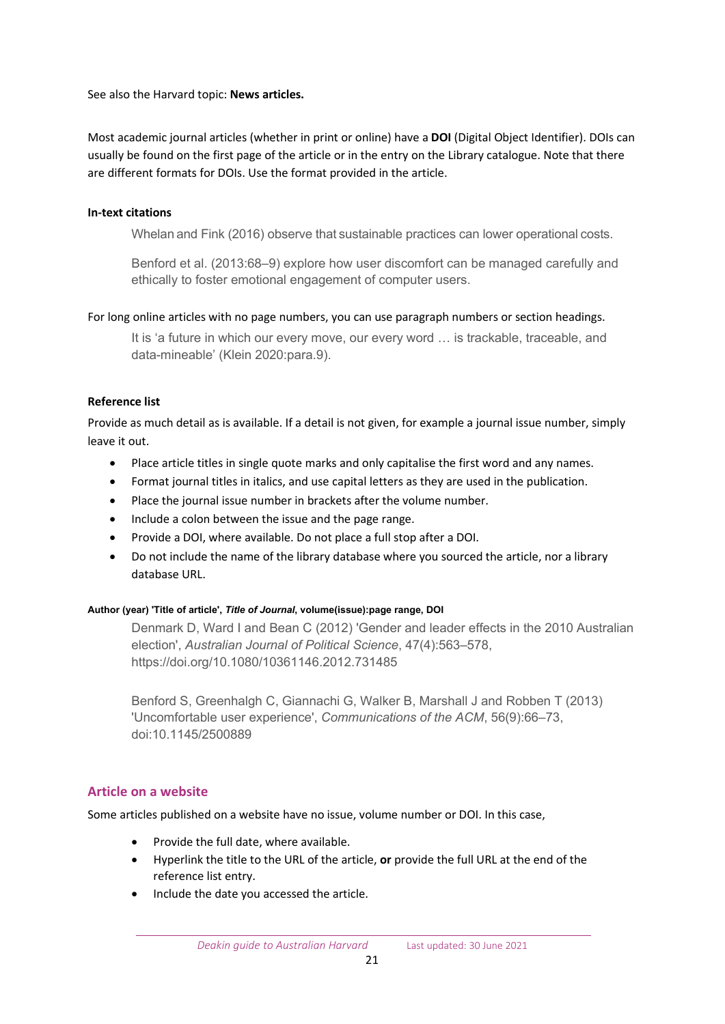See also the Harvard topic: **News articles.**

Most academic journal articles (whether in print or online) have a **DOI** (Digital Object Identifier). DOIs can usually be found on the first page of the article or in the entry on the Library catalogue. Note that there are different formats for DOIs. Use the format provided in the article.

## **In-text citations**

Whelan and Fink (2016) observe that sustainable practices can lower operational costs.

Benford et al. (2013:68–9) explore how user discomfort can be managed carefully and ethically to foster emotional engagement of computer users.

## For long online articles with no page numbers, you can use paragraph numbers or section headings.

It is 'a future in which our every move, our every word … is trackable, traceable, and data-mineable' (Klein 2020:para.9).

## **Reference list**

Provide as much detail as is available. If a detail is not given, for example a journal issue number, simply leave it out.

- Place article titles in single quote marks and only capitalise the first word and any names.
- Format journal titles in italics, and use capital letters as they are used in the publication.
- Place the journal issue number in brackets after the volume number.
- Include a colon between the issue and the page range.
- Provide a DOI, where available. Do not place a full stop after a DOI.
- Do not include the name of the library database where you sourced the article, nor a library database URL.

#### **Author (year) 'Title of article',** *Title of Journal***, volume(issue):page range, DOI**

Denmark D, Ward I and Bean C (2012) 'Gender and leader effects in the 2010 Australian election', *Australian Journal of Political Science*, 47(4):563–578, https://doi.org/10.1080/10361146.2012.731485

Benford S, Greenhalgh C, Giannachi G, Walker B, Marshall J and Robben T (2013) 'Uncomfortable user experience', *Communications of the ACM*, 56(9):66–73, doi:10.1145/2500889

## <span id="page-20-0"></span>**Article on a website**

Some articles published on a website have no issue, volume number or DOI. In this case,

- Provide the full date, where available.
- Hyperlink the title to the URL of the article, **or** provide the full URL at the end of the reference list entry.
- Include the date you accessed the article.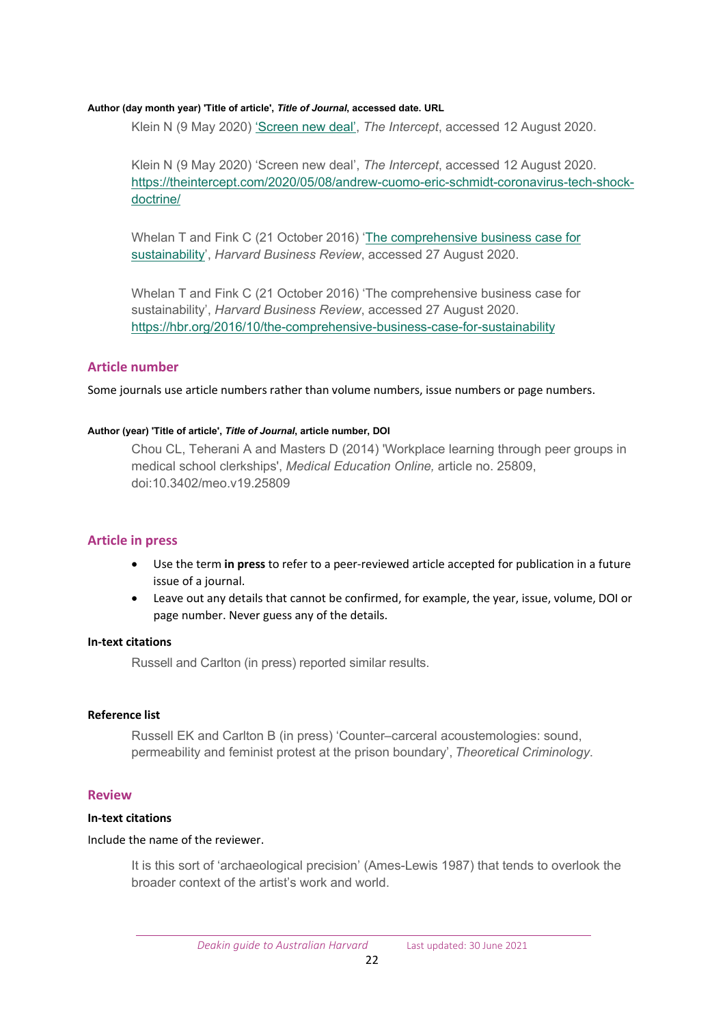#### **Author (day month year) 'Title of article',** *Title of Journal***, accessed date. URL**

Klein N (9 May 2020) ['Screen new deal',](https://theintercept.com/2020/05/08/andrew-cuomo-eric-schmidt-coronavirus-tech-shock-doctrine/) *The Intercept*, accessed 12 August 2020.

Klein N (9 May 2020) 'Screen new deal', *The Intercept*, accessed 12 August 2020. [https://theintercept.com/2020/05/08/andrew](https://theintercept.com/2020/05/08/andrew-cuomo-eric-schmidt-coronavirus-tech-shock-doctrine/)-cuomo-eric-schmidt-coronavirus-tech-shock[doctrine/](https://theintercept.com/2020/05/08/andrew-cuomo-eric-schmidt-coronavirus-tech-shock-doctrine/)

Whelan T and Fink C (21 October 2016) ['The comprehensive business case for](https://hbr.org/2016/10/the-comprehensive-business-case-for-sustainability)  [sustainability'](https://hbr.org/2016/10/the-comprehensive-business-case-for-sustainability), *Harvard Business Review*, accessed 27 August 2020.

Whelan T and Fink C (21 October 2016) 'The comprehensive business case for sustainability', *Harvard Business Review*, accessed 27 August 2020. https://hbr.org/2016/10/the[-comprehensive-business-case-for-sustainability](https://hbr.org/2016/10/the-comprehensive-business-case-for-sustainability)

#### <span id="page-21-0"></span>**Article number**

Some journals use article numbers rather than volume numbers, issue numbers or page numbers.

#### **Author (year) 'Title of article',** *Title of Journal***, article number, DOI**

Chou CL, Teherani A and Masters D (2014) 'Workplace learning through peer groups in medical school clerkships', *Medical Education Online,* article no. 25809, doi:10.3402/meo.v19.25809

#### <span id="page-21-1"></span>**Article in press**

- Use the term **in press** to refer to a peer-reviewed article accepted for publication in a future issue of a journal.
- Leave out any details that cannot be confirmed, for example, the year, issue, volume, DOI or page number. Never guess any of the details.

#### **In-text citations**

Russell and Carlton (in press) reported similar results.

#### **Reference list**

Russell EK and Carlton B (in press) 'Counter–carceral acoustemologies: sound, permeability and feminist protest at the prison boundary', *Theoretical Criminology*.

#### <span id="page-21-2"></span>**Review**

#### **In-text citations**

#### Include the name of the reviewer.

It is this sort of 'archaeological precision' (Ames-Lewis 1987) that tends to overlook the broader context of the artist's work and world.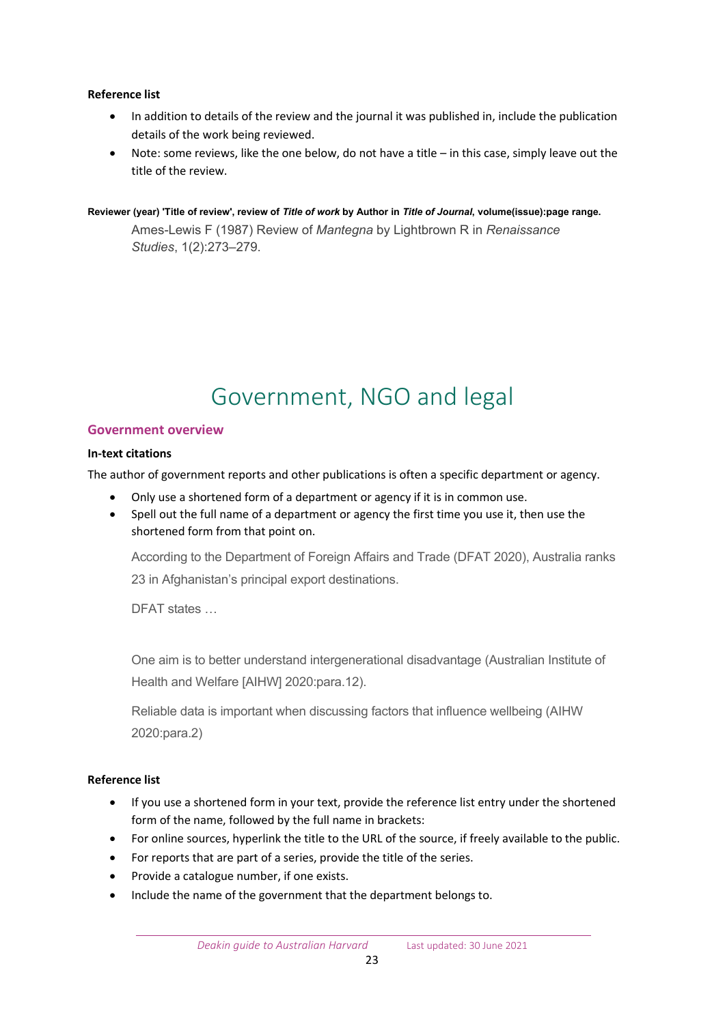## **Reference list**

- In addition to details of the review and the journal it was published in, include the publication details of the work being reviewed.
- Note: some reviews, like the one below, do not have a title in this case, simply leave out the title of the review.

#### **Reviewer (year) 'Title of review', review of** *Title of work* **by Author in** *Title of Journal***, volume(issue):page range.**

Ames-Lewis F (1987) Review of *Mantegna* by Lightbrown R in *Renaissance Studies*, 1(2):273–279.

## Government, NGO and legal

## <span id="page-22-1"></span><span id="page-22-0"></span>**Government overview**

## **In-text citations**

The author of government reports and other publications is often a specific department or agency.

- Only use a shortened form of a department or agency if it is in common use.
- Spell out the full name of a department or agency the first time you use it, then use the shortened form from that point on.

According to the Department of Foreign Affairs and Trade (DFAT 2020), Australia ranks 23 in Afghanistan's principal export destinations.

DFAT states …

One aim is to better understand intergenerational disadvantage (Australian Institute of Health and Welfare [AIHW] 2020:para.12).

Reliable data is important when discussing factors that influence wellbeing (AIHW 2020:para.2)

## **Reference list**

- If you use a shortened form in your text, provide the reference list entry under the shortened form of the name, followed by the full name in brackets:
- For online sources, hyperlink the title to the URL of the source, if freely available to the public.
- For reports that are part of a series, provide the title of the series.
- Provide a catalogue number, if one exists.
- Include the name of the government that the department belongs to.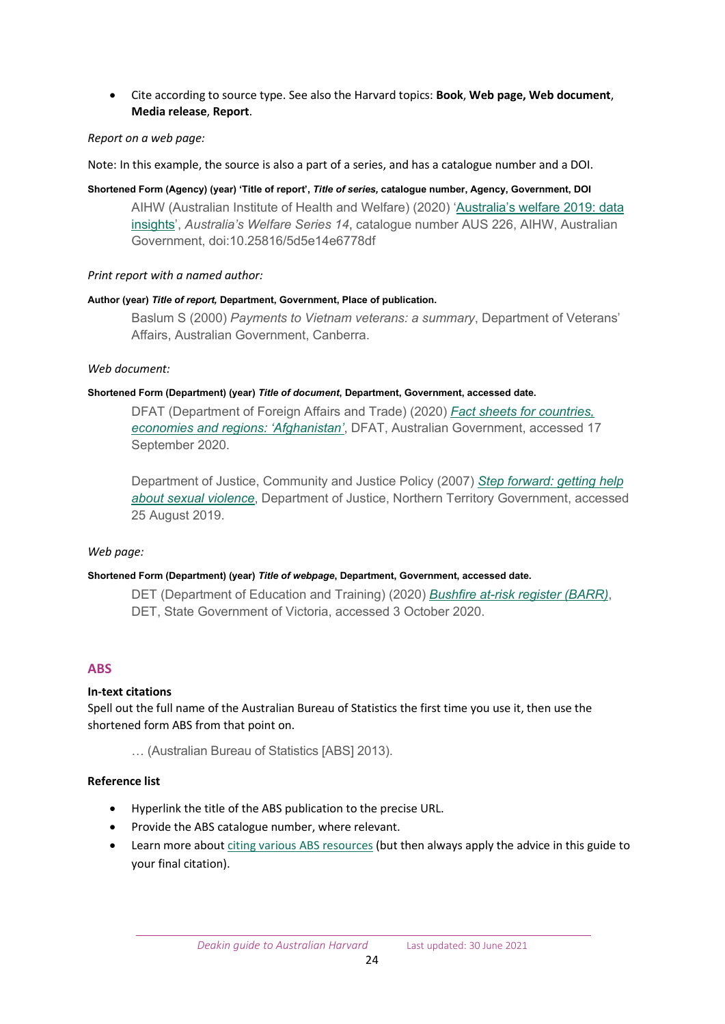• Cite according to source type. See also the Harvard topics: **Book**, **Web page, Web document**, **Media release**, **Report**.

#### *Report on a web page:*

Note: In this example, the source is also a part of a series, and has a catalogue number and a DOI.

#### **Shortened Form (Agency) (year) 'Title of report',** *Title of series,* **catalogue number, Agency, Government, DOI**

AIHW (Australian Institute of Health and Welfare) (2020) ['Australia's](https://www.aihw.gov.au/reports/australias-welfare/australias-welfare-2019-data-insights/contents/summary) welfare 2019: data insights', *Australia's Welfare Series 14*, catalogue number AUS 226, AIHW, Australian Government, doi:10.25816/5d5e14e6778df

#### *Print report with a named author:*

#### **Author (year)** *Title of report,* **Department, Government, Place of publication.**

Baslum S (2000) *Payments to Vietnam veterans: a summary*, Department of Veterans' Affairs, Australian Government, Canberra.

#### *Web document:*

#### **Shortened Form (Department) (year)** *Title of document***, Department, Government, accessed date.**

DFAT (Department of Foreign Affairs and Trade) (2020) *[Fact sheets for countries,](https://www.dfat.gov.au/trade/resources/Pages/trade-and-economic-fact-sheets-for-countries-economies-and-regions)  economies [and regions:](https://www.dfat.gov.au/trade/resources/Pages/trade-and-economic-fact-sheets-for-countries-economies-and-regions) 'Afghanistan'*, DFAT, Australian Government, accessed 17 September 2020.

Department of Justice, Community and Justice Policy (2007) *[Step forward: getting help](https://justice.nt.gov.au/__data/assets/pdf_file/0015/171204/step-forward-getting-help-sexual-violence.pdf)  [about sexual violence](https://justice.nt.gov.au/__data/assets/pdf_file/0015/171204/step-forward-getting-help-sexual-violence.pdf)*, Department of Justice, Northern Territory Government, accessed 25 August 2019.

#### *Web page:*

#### **Shortened Form (Department) (year)** *Title of webpage***, Department, Government, accessed date.**

DET (Department of Education and Training) (2020) *[Bushfire at-risk register \(BARR\)](https://www.education.vic.gov.au/about/programs/health/Pages/bushfirerisk.aspx)*, DET, State Government of Victoria, accessed 3 October 2020.

#### <span id="page-23-0"></span>**ABS**

#### **In-text citations**

Spell out the full name of the Australian Bureau of Statistics the first time you use it, then use the shortened form ABS from that point on.

… (Australian Bureau of Statistics [ABS] 2013).

#### **Reference list**

- Hyperlink the title of the ABS publication to the precise URL.
- Provide the ABS catalogue number, where relevant.
- Learn more about [citing various ABS resources](https://www.abs.gov.au/AUSSTATS/abs@.nsf/web+pages/Citing+ABS+Sources#Census) (but then always apply the advice in this guide to your final citation).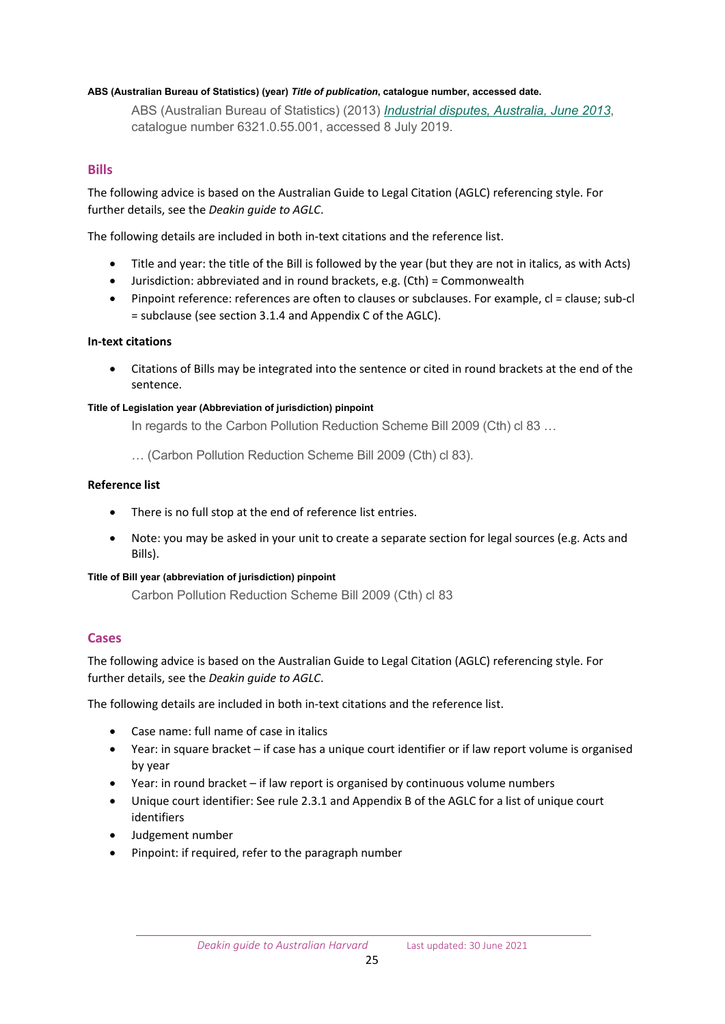#### **ABS (Australian Bureau of Statistics) (year)** *Title of publication***, catalogue number, accessed date.**

ABS (Australian Bureau of Statistics) (2013) *[Industrial disputes, Australia, June 2013](https://www.abs.gov.au/AUSSTATS/abs@.nsf/Lookup/6321.0.55.001Main+Features1Jun%202013)*, catalogue number 6321.0.55.001, accessed 8 July 2019.

## <span id="page-24-0"></span>**Bills**

The following advice is based on the Australian Guide to Legal Citation (AGLC) referencing style. For further details, see the *Deakin guide to AGLC*.

The following details are included in both in-text citations and the reference list.

- Title and year: the title of the Bill is followed by the year (but they are not in italics, as with Acts)
- Jurisdiction: abbreviated and in round brackets, e.g. (Cth) = Commonwealth
- Pinpoint reference: references are often to clauses or subclauses. For example, cl = clause; sub-cl = subclause (see section 3.1.4 and Appendix C of the AGLC).

#### **In-text citations**

• Citations of Bills may be integrated into the sentence or cited in round brackets at the end of the sentence.

#### **Title of Legislation year (Abbreviation of jurisdiction) pinpoint**

In regards to the Carbon Pollution Reduction Scheme Bill 2009 (Cth) cl 83 …

… (Carbon Pollution Reduction Scheme Bill 2009 (Cth) cl 83).

#### **Reference list**

- There is no full stop at the end of reference list entries.
- Note: you may be asked in your unit to create a separate section for legal sources (e.g. Acts and Bills).

#### **Title of Bill year (abbreviation of jurisdiction) pinpoint**

Carbon Pollution Reduction Scheme Bill 2009 (Cth) cl 83

#### <span id="page-24-1"></span>**Cases**

The following advice is based on the Australian Guide to Legal Citation (AGLC) referencing style. For further details, see the *Deakin guide to AGLC*.

The following details are included in both in-text citations and the reference list.

- Case name: full name of case in italics
- Year: in square bracket if case has a unique court identifier or if law report volume is organised by year
- Year: in round bracket if law report is organised by continuous volume numbers
- Unique court identifier: See rule 2.3.1 and Appendix B of the AGLC for a list of unique court identifiers
- Judgement number
- Pinpoint: if required, refer to the paragraph number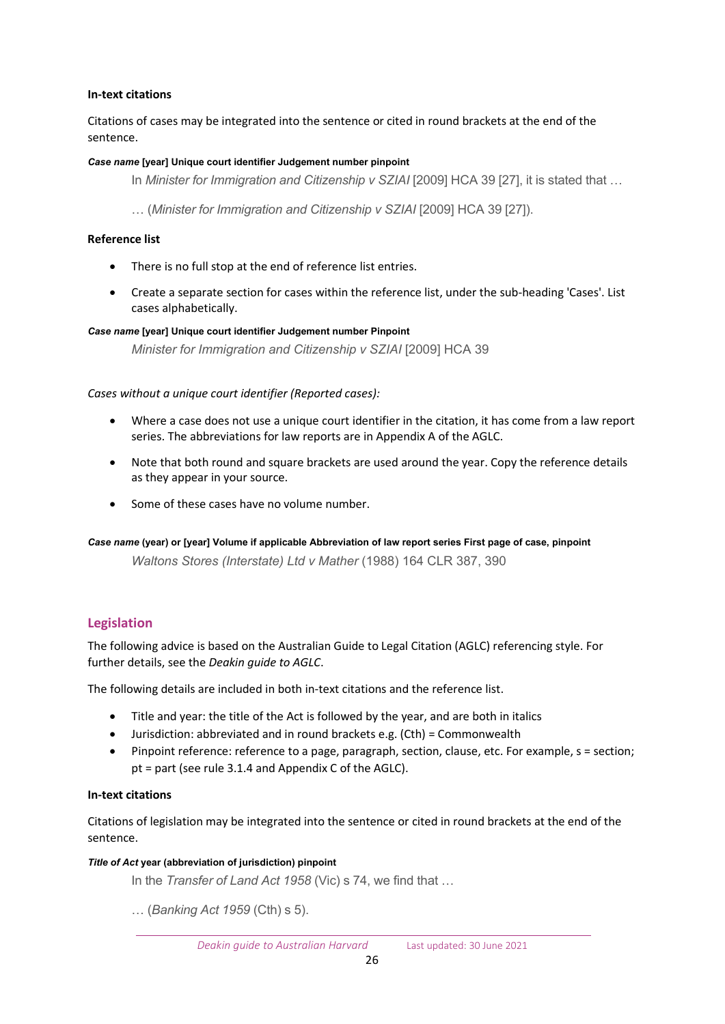## **In-text citations**

Citations of cases may be integrated into the sentence or cited in round brackets at the end of the sentence.

#### *Case name* **[year] Unique court identifier Judgement number pinpoint**

In *Minister for Immigration and Citizenship v SZIAI* [2009] HCA 39 [27], it is stated that …

… (*Minister for Immigration and Citizenship v SZIAI* [2009] HCA 39 [27]).

## **Reference list**

- There is no full stop at the end of reference list entries.
- Create a separate section for cases within the reference list, under the sub-heading 'Cases'. List cases alphabetically.

#### *Case name* **[year] Unique court identifier Judgement number Pinpoint**

*Minister for Immigration and Citizenship v SZIAI* [2009] HCA 39

*Cases without a unique court identifier (Reported cases):*

- Where a case does not use a unique court identifier in the citation, it has come from a law report series. The abbreviations for law reports are in Appendix A of the AGLC.
- Note that both round and square brackets are used around the year. Copy the reference details as they appear in your source.
- Some of these cases have no volume number.

*Case name* **(year) or [year] Volume if applicable Abbreviation of law report series First page of case, pinpoint** *Waltons Stores (Interstate) Ltd v Mather* (1988) 164 CLR 387, 390

## <span id="page-25-0"></span>**Legislation**

The following advice is based on the Australian Guide to Legal Citation (AGLC) referencing style. For further details, see the *Deakin guide to AGLC*.

The following details are included in both in-text citations and the reference list.

- Title and year: the title of the Act is followed by the year, and are both in italics
- Jurisdiction: abbreviated and in round brackets e.g. (Cth) = Commonwealth
- Pinpoint reference: reference to a page, paragraph, section, clause, etc. For example, s = section; pt = part (see rule 3.1.4 and Appendix C of the AGLC).

#### **In-text citations**

Citations of legislation may be integrated into the sentence or cited in round brackets at the end of the sentence.

#### *Title of Act* **year (abbreviation of jurisdiction) pinpoint**

In the *Transfer of Land Act 1958* (Vic) s 74, we find that …

… (*Banking Act 1959* (Cth) s 5).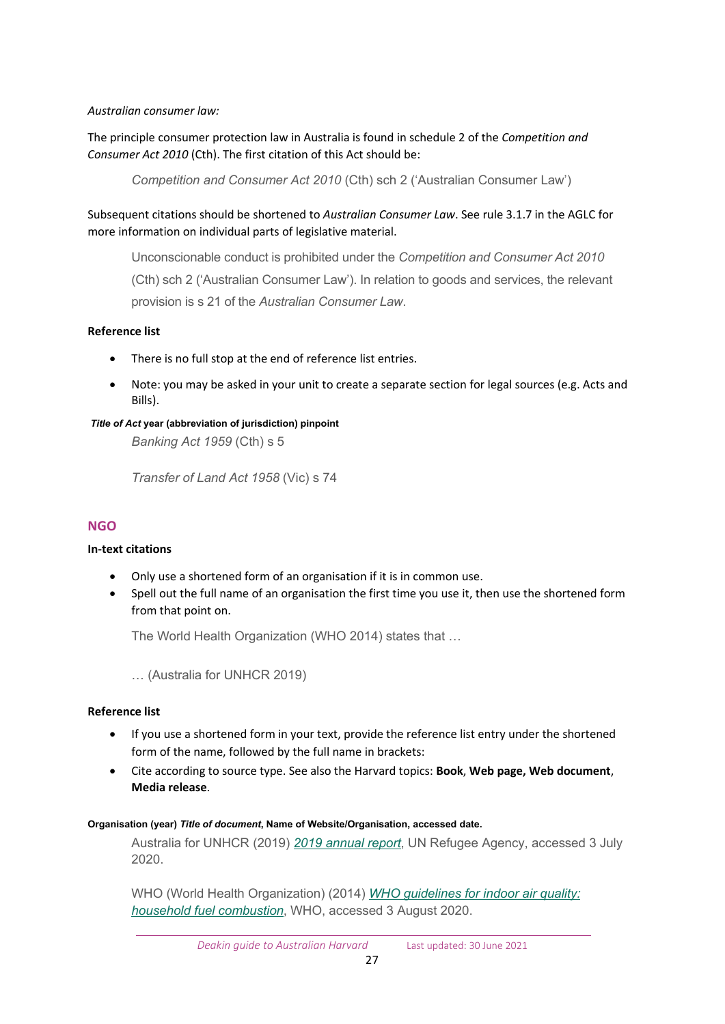## *Australian consumer law:*

The principle consumer protection law in Australia is found in schedule 2 of the *Competition and Consumer Act 2010* (Cth). The first citation of this Act should be:

*Competition and Consumer Act 2010* (Cth) sch 2 ('Australian Consumer Law')

Subsequent citations should be shortened to *Australian Consumer Law*. See rule 3.1.7 in the AGLC for more information on individual parts of legislative material.

Unconscionable conduct is prohibited under the *Competition and Consumer Act 2010* (Cth) sch 2 ('Australian Consumer Law'). In relation to goods and services, the relevant provision is s 21 of the *Australian Consumer Law*.

## **Reference list**

- There is no full stop at the end of reference list entries.
- Note: you may be asked in your unit to create a separate section for legal sources (e.g. Acts and Bills).

## *Title of Act* **year (abbreviation of jurisdiction) pinpoint**

*Banking Act 1959* (Cth) s 5

*Transfer of Land Act 1958* (Vic) s 74

## <span id="page-26-0"></span>**NGO**

## **In-text citations**

- Only use a shortened form of an organisation if it is in common use.
- Spell out the full name of an organisation the first time you use it, then use the shortened form from that point on.

The World Health Organization (WHO 2014) states that …

… (Australia for UNHCR 2019)

## **Reference list**

- If you use a shortened form in your text, provide the reference list entry under the shortened form of the name, followed by the full name in brackets:
- Cite according to source type. See also the Harvard topics: **Book**, **Web page, Web document**, **Media release**.

#### **Organisation (year)** *Title of document***, Name of Website/Organisation, accessed date.**

Australia for UNHCR (2019) *[2019 annual report](https://www.unrefugees.org.au/media/5096/14803_unhcr_annualreport2019_fa_web.pdf)*, UN Refugee Agency, accessed 3 July 2020.

WHO (World Health Organization) (2014) *[WHO guidelines for indoor air quality:](https://www.who.int/airpollution/guidelines/household-fuel-combustion/en/)  [household fuel combustion](https://www.who.int/airpollution/guidelines/household-fuel-combustion/en/)*, WHO, accessed 3 August 2020.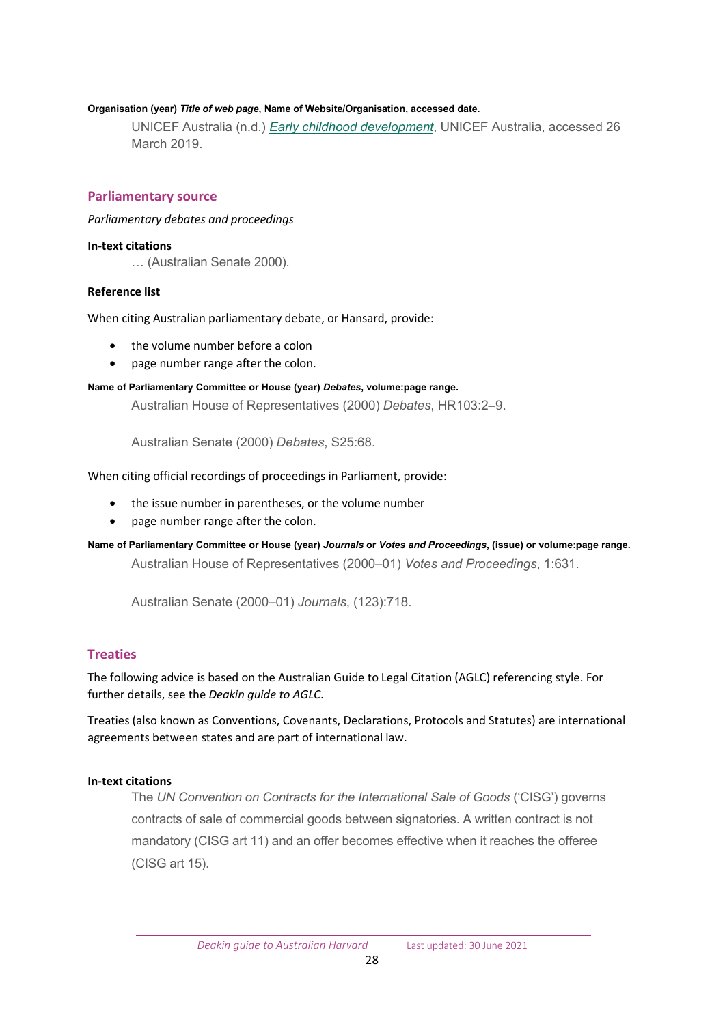#### **Organisation (year)** *Title of web page***, Name of Website/Organisation, accessed date.**

UNICEF Australia (n.d.) *[Early childhood development](https://www.unicef.org.au/our-work/unicef-overseas/early-childhood-development)*, UNICEF Australia, accessed 26 March 2019.

#### <span id="page-27-0"></span>**Parliamentary source**

#### *Parliamentary debates and proceedings*

#### **In-text citations**

… (Australian Senate 2000).

#### **Reference list**

When citing Australian parliamentary debate, or Hansard, provide:

- the volume number before a colon
- page number range after the colon.

#### **Name of Parliamentary Committee or House (year)** *Debates***, volume:page range.**

Australian House of Representatives (2000) *Debates*, HR103:2–9.

Australian Senate (2000) *Debates*, S25:68.

When citing official recordings of proceedings in Parliament, provide:

- the issue number in parentheses, or the volume number
- page number range after the colon.
- **Name of Parliamentary Committee or House (year)** *Journals* **or** *Votes and Proceedings***, (issue) or volume:page range.** Australian House of Representatives (2000–01) *Votes and Proceedings*, 1:631.

Australian Senate (2000–01) *Journals*, (123):718.

#### <span id="page-27-1"></span>**Treaties**

The following advice is based on the Australian Guide to Legal Citation (AGLC) referencing style. For further details, see the *Deakin guide to AGLC*.

Treaties (also known as Conventions, Covenants, Declarations, Protocols and Statutes) are international agreements between states and are part of international law.

#### **In-text citations**

The *UN Convention on Contracts for the International Sale of Goods* ('CISG') governs contracts of sale of commercial goods between signatories. A written contract is not mandatory (CISG art 11) and an offer becomes effective when it reaches the offeree (CISG art 15).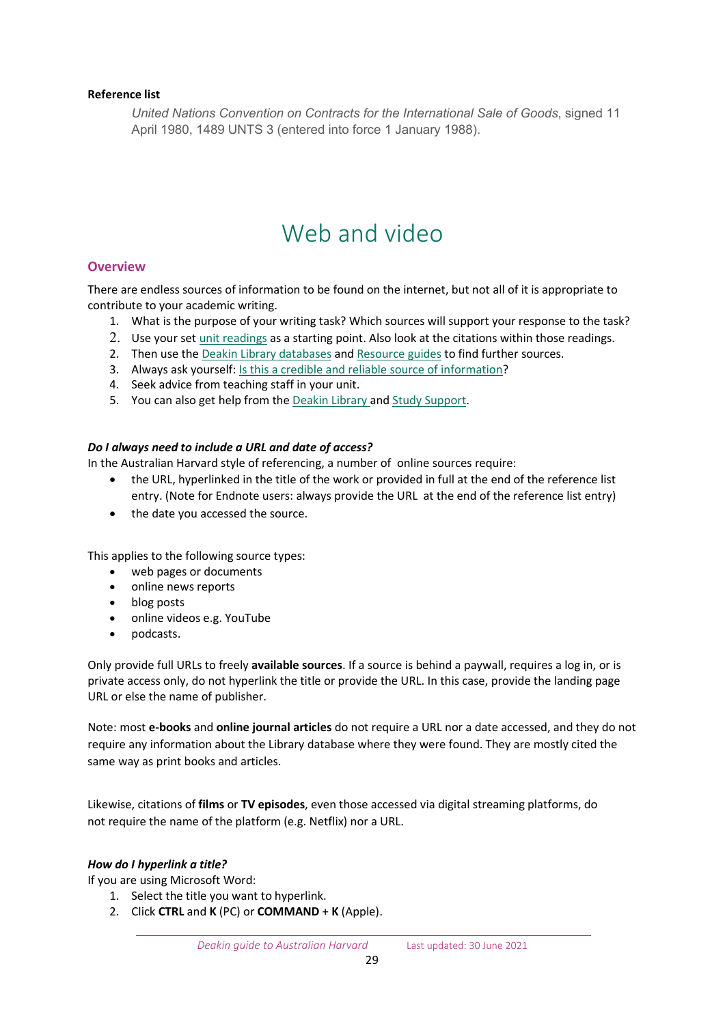## **Reference list**

*United Nations Convention on Contracts for the International Sale of Goods*, signed 11 April 1980, 1489 UNTS 3 (entered into force 1 January 1988).

## Web and video

## <span id="page-28-1"></span><span id="page-28-0"></span>**Overview**

There are endless sources of information to be found on the internet, but not all of it is appropriate to contribute to your academic writing.

- 1. What is the purpose of your writing task? Which sources will support your response to the task?
- 2. Use your set [unit readings](https://www.deakin.edu.au/library/skills-for-study/using-your-reading-list) as a starting point. Also look at the citations within those readings.
- 2. Then use the Deakin Library databases and [Resource guides](https://www.deakin.edu.au/library/help/resource-guides) to find further sources.
- 3. Always ask yourself: [Is this a credible and reliable source of information?](https://www.deakin.edu.au/library/skills-for-study/evaluating-information)
- 4. Seek advice from teaching staff in your unit.
- 5. You can also get help from the [Deakin Library](https://www.deakin.edu.au/library/about/contact-us) and [Study Support.](https://www.deakin.edu.au/students/studying/study-support)

## *Do I always need to include a URL and date of access?*

In the Australian Harvard style of referencing, a number of online sources require:

- the URL, hyperlinked in the title of the work or provided in full at the end of the reference list entry. (Note for Endnote users: always provide the URL at the end of the reference list entry)
- the date you accessed the source.

This applies to the following source types:

- web pages or documents
- online news reports
- blog posts
- online videos e.g. YouTube
- podcasts.

Only provide full URLs to freely **available sources**. If a source is behind a paywall, requires a log in, or is private access only, do not hyperlink the title or provide the URL. In this case, provide the landing page URL or else the name of publisher.

Note: most **e-books** and **online journal articles** do not require a URL nor a date accessed, and they do not require any information about the Library database where they were found. They are mostly cited the same way as print books and articles.

Likewise, citations of **films** or **TV episodes**, even those accessed via digital streaming platforms, do not require the name of the platform (e.g. Netflix) nor a URL.

#### *How do I hyperlink a title?*

If you are using Microsoft Word:

- 1. Select the title you want to hyperlink.
- 2. Click **CTRL** and **K** (PC) or **COMMAND** + **K** (Apple).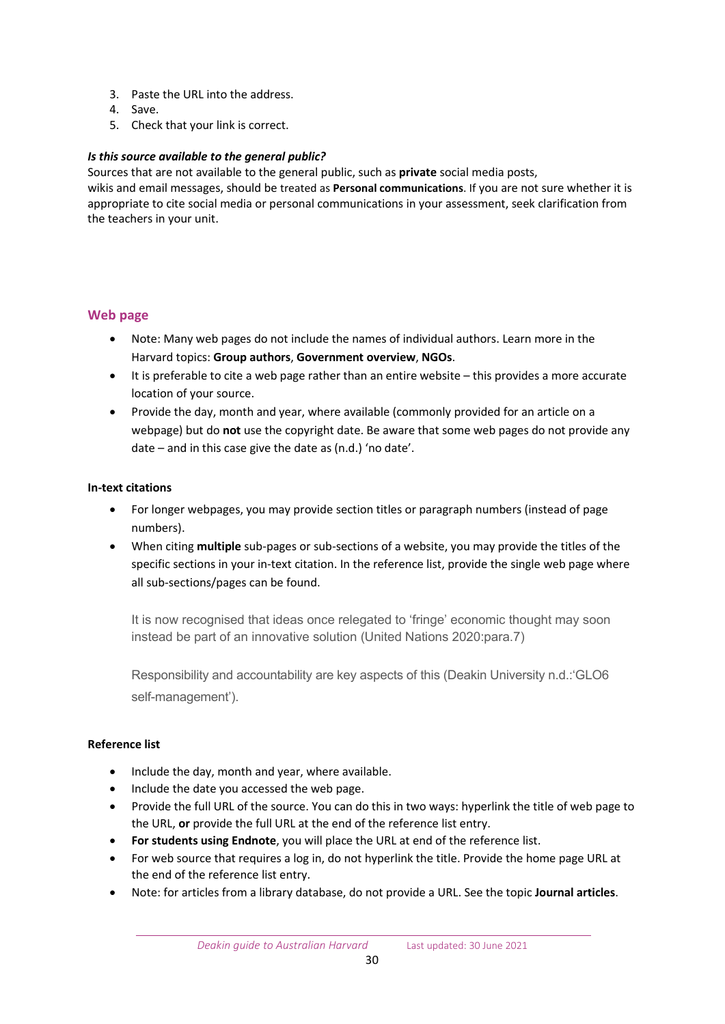- 3. Paste the URL into the address.
- 4. Save.
- 5. Check that your link is correct.

## *Is this source available to the general public?*

Sources that are not available to the general public, such as **private** social media posts, wikis and email messages, should be treated as **Personal communications**. If you are not sure whether it is appropriate to cite social media or personal communications in your assessment, seek clarification from the teachers in your unit.

## <span id="page-29-0"></span>**Web page**

- Note: Many web pages do not include the names of individual authors. Learn more in the Harvard topics: **Group authors**, **Government overview**, **NGOs**.
- It is preferable to cite a web page rather than an entire website this provides a more accurate location of your source.
- Provide the day, month and year, where available (commonly provided for an article on a webpage) but do **not** use the copyright date. Be aware that some web pages do not provide any date – and in this case give the date as (n.d.) 'no date'.

#### **In-text citations**

- For longer webpages, you may provide section titles or paragraph numbers (instead of page numbers).
- When citing **multiple** sub-pages or sub-sections of a website, you may provide the titles of the specific sections in your in-text citation. In the reference list, provide the single web page where all sub-sections/pages can be found.

It is now recognised that ideas once relegated to 'fringe' economic thought may soon instead be part of an innovative solution (United Nations 2020:para.7)

Responsibility and accountability are key aspects of this (Deakin University n.d.:'GLO6 self-management').

#### **Reference list**

- Include the day, month and year, where available.
- Include the date you accessed the web page.
- Provide the full URL of the source. You can do this in two ways: hyperlink the title of web page to the URL, **or** provide the full URL at the end of the reference list entry.
- **For students using Endnote**, you will place the URL at end of the reference list.
- For web source that requires a log in, do not hyperlink the title. Provide the home page URL at the end of the reference list entry.
- Note: for articles from a library database, do not provide a URL. See the topic **Journal articles**.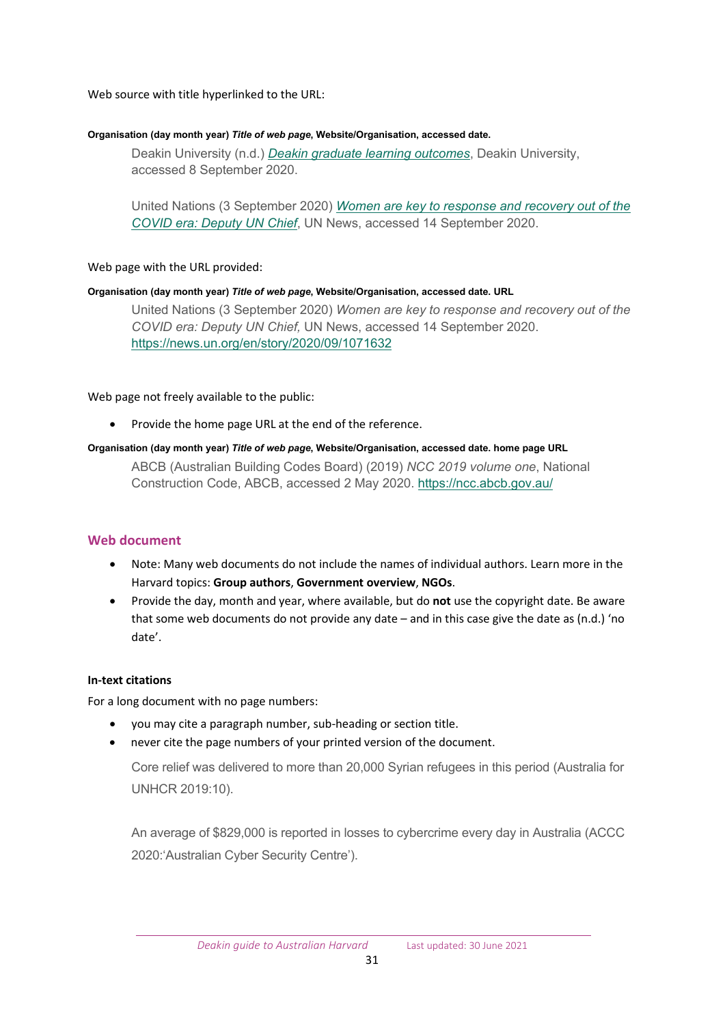#### Web source with title hyperlinked to the URL:

#### **Organisation (day month year)** *Title of web page***, Website/Organisation, accessed date.**

Deakin University (n.d.) *[Deakin graduate learning outcomes](https://www.deakin.edu.au/about-deakin/teaching-and-learning/deakin-graduate-learning-outcomes)*, Deakin University, accessed 8 September 2020.

United Nations (3 September 2020) *[Women are key to response and recovery out of the](https://news.un.org/en/story/2020/09/1071632)  [COVID era: Deputy UN Chief](https://news.un.org/en/story/2020/09/1071632)*, UN News, accessed 14 September 2020.

## Web page with the URL provided:

#### **Organisation (day month year)** *Title of web page***, Website/Organisation, accessed date. URL**

United Nations (3 September 2020) *Women are key to response and recovery out of the COVID era: Deputy UN Chief,* UN News, accessed 14 September 2020. <https://news.un.org/en/story/2020/09/1071632>

Web page not freely available to the public:

• Provide the home page URL at the end of the reference.

## **Organisation (day month year)** *Title of web page***, Website/Organisation, accessed date. home page URL**

ABCB (Australian Building Codes Board) (2019) *NCC 2019 volume one*, National Construction Code, ABCB, accessed 2 May 2020. <https://ncc.abcb.gov.au/>

## <span id="page-30-0"></span>**Web document**

- Note: Many web documents do not include the names of individual authors. Learn more in the Harvard topics: **Group authors**, **Government overview**, **NGOs**.
- Provide the day, month and year, where available, but do **not** use the copyright date. Be aware that some web documents do not provide any date  $-$  and in this case give the date as (n.d.) 'no date'.

## **In-text citations**

For a long document with no page numbers:

- you may cite a paragraph number, sub-heading or section title.
- never cite the page numbers of your printed version of the document.

Core relief was delivered to more than 20,000 Syrian refugees in this period (Australia for UNHCR 2019:10).

An average of \$829,000 is reported in losses to cybercrime every day in Australia (ACCC 2020:'Australian Cyber Security Centre').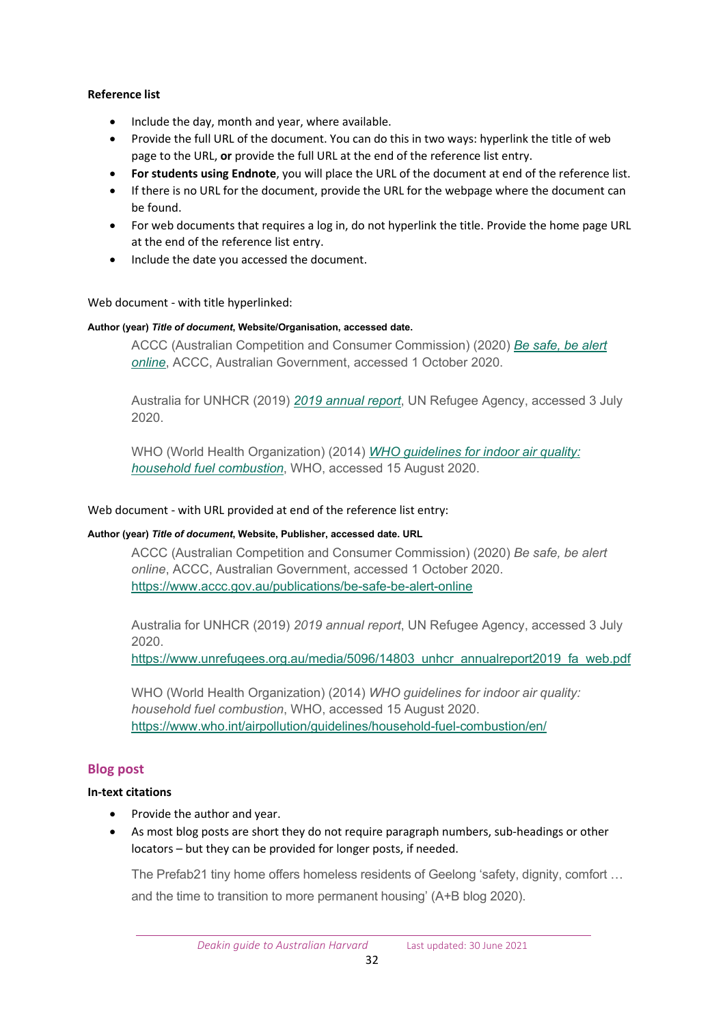## **Reference list**

- Include the day, month and year, where available.
- Provide the full URL of the document. You can do this in two ways: hyperlink the title of web page to the URL, **or** provide the full URL at the end of the reference list entry.
- **For students using Endnote**, you will place the URL of the document at end of the reference list.
- If there is no URL for the document, provide the URL for the webpage where the document can be found.
- For web documents that requires a log in, do not hyperlink the title. Provide the home page URL at the end of the reference list entry.
- Include the date you accessed the document.

#### Web document - with title hyperlinked:

#### **Author (year)** *Title of document***, Website/Organisation, accessed date.**

ACCC (Australian Competition and Consumer Commission) (2020) *[Be safe, be alert](https://www.accc.gov.au/publications/be-safe-be-alert-online)  [online](https://www.accc.gov.au/publications/be-safe-be-alert-online)*, ACCC, Australian Government, accessed 1 October 2020.

Australia for UNHCR (2019) *[2019 annual report](https://www.unrefugees.org.au/media/5096/14803_unhcr_annualreport2019_fa_web.pdf)*, UN Refugee Agency, accessed 3 July 2020.

WHO (World Health Organization) (2014) *[WHO guidelines for indoor air quality:](https://www.who.int/airpollution/guidelines/household-fuel-combustion/en/)  [household fuel combustion](https://www.who.int/airpollution/guidelines/household-fuel-combustion/en/)*, WHO, accessed 15 August 2020.

#### Web document - with URL provided at end of the reference list entry:

#### **Author (year)** *Title of document***, Website, Publisher, accessed date. URL**

ACCC (Australian Competition and Consumer Commission) (2020) *Be safe, be alert online*, ACCC, Australian Government, accessed 1 October 2020. [https://www.accc.gov.au/publications/be](https://www.accc.gov.au/publications/be-safe-be-alert-online)-safe-be-alert-online

Australia for UNHCR (2019) *2019 annual report*, UN Refugee Agency, accessed 3 July 2020.

[https://www.unrefugees.org.au/media/5096/14803\\_unhcr\\_annualreport2019\\_fa\\_web.pdf](https://www.unrefugees.org.au/media/5096/14803_unhcr_annualreport2019_fa_web.pdf)

WHO (World Health Organization) (2014) *WHO guidelines for indoor air quality: household fuel combustion*, WHO, accessed 15 August 2020. [https://www.who.int/airpollution/guidelines/household](https://www.who.int/airpollution/guidelines/household-fuel-combustion/en/)-fuel-combustion/en/

#### <span id="page-31-0"></span>**Blog post**

#### **In-text citations**

- Provide the author and year.
- As most blog posts are short they do not require paragraph numbers, sub-headings or other locators – but they can be provided for longer posts, if needed.

The Prefab21 tiny home offers homeless residents of Geelong 'safety, dignity, comfort … and the time to transition to more permanent housing' (A+B blog 2020).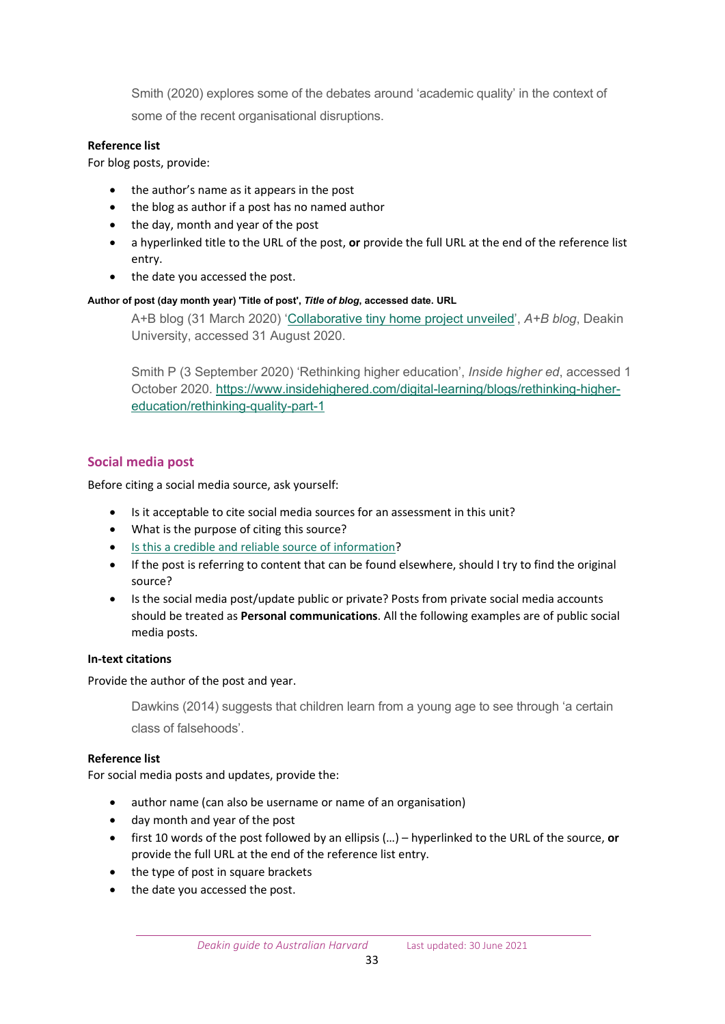Smith (2020) explores some of the debates around 'academic quality' in the context of some of the recent organisational disruptions.

## **Reference list**

For blog posts, provide:

- the author's name as it appears in the post
- the blog as author if a post has no named author
- the day, month and year of the post
- a hyperlinked title to the URL of the post, **or** provide the full URL at the end of the reference list entry.
- the date you accessed the post.

## **Author of post (day month year) 'Title of post',** *Title of blog***, accessed date. URL**

A+B blog (31 March 2020) '[Collaborative tiny home project unveiled',](https://blogs.deakin.edu.au/ab/2020/03/31/collaborative-tiny-home-project-unveiled/) *A+B blog*, Deakin University, accessed 31 August 2020.

Smith P (3 September 2020) 'Rethinking higher education', *Inside higher ed*, accessed 1 October 2020. [https://www.insidehighered.com/digital](https://www.insidehighered.com/digital-learning/blogs/rethinking-higher-education/rethinking-quality-part-1)-learning/blogs/rethinking-higher[education/rethinking](https://www.insidehighered.com/digital-learning/blogs/rethinking-higher-education/rethinking-quality-part-1)-quality-part-1

## <span id="page-32-0"></span>**Social media post**

Before citing a social media source, ask yourself:

- Is it acceptable to cite social media sources for an assessment in this unit?
- What is the purpose of citing this source?
- [Is this a credible and reliable source of information?](https://www.deakin.edu.au/library/skills-for-study/evaluating-information)
- If the post is referring to content that can be found elsewhere, should I try to find the original source?
- Is the social media post/update public or private? Posts from private social media accounts should be treated as **Personal communications**. All the following examples are of public social media posts.

## **In-text citations**

Provide the author of the post and year.

Dawkins (2014) suggests that children learn from a young age to see through 'a certain class of falsehoods'.

## **Reference list**

For social media posts and updates, provide the:

- author name (can also be username or name of an organisation)
- day month and year of the post
- first 10 words of the post followed by an ellipsis (…) hyperlinked to the URL of the source, **or** provide the full URL at the end of the reference list entry.
- the type of post in square brackets
- the date you accessed the post.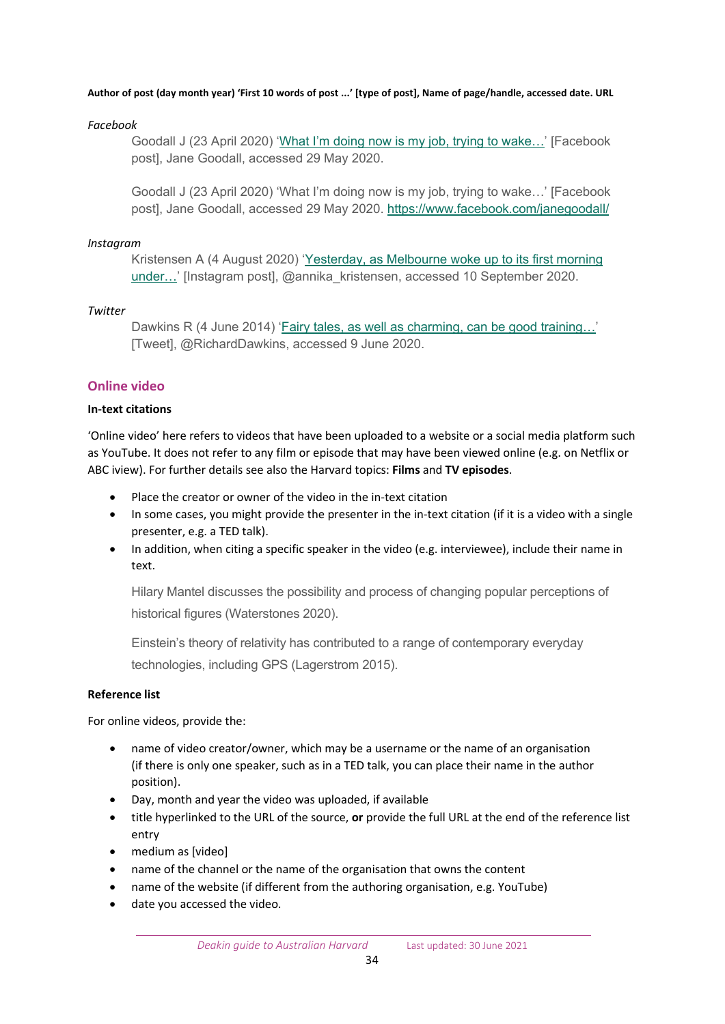#### **Author of post (day month year) 'First 10 words of post ...' [type of post], Name of page/handle, accessed date. URL**

#### *Facebook*

Goodall J (23 April 2020) ['What I'm doing now is my job, trying to wake…'](https://www.facebook.com/janegoodall/) [Facebook post], Jane Goodall, accessed 29 May 2020.

Goodall J (23 April 2020) 'What I'm doing now is my job, trying to wake…' [Facebook post], Jane Goodall, accessed 29 May 2020. <https://www.facebook.com/janegoodall/>

#### *Instagram*

Kristensen A (4 August 2020) 'Yest[erday, as Melbourne woke up to its first morning](https://www.instagram.com/p/CDc4-vyjAbT/?utm_source=ig_web_button_share_sheet)  [under…](https://www.instagram.com/p/CDc4-vyjAbT/?utm_source=ig_web_button_share_sheet)' [Instagram post], @annika\_kristensen, accessed 10 September 2020.

## *Twitter*

Dawkins R (4 June 2014) 'Fairy tales, as well as charming, can be good training...' [Tweet], @RichardDawkins, accessed 9 June 2020.

## <span id="page-33-0"></span>**Online video**

#### **In-text citations**

'Online video' here refers to videos that have been uploaded to a website or a social media platform such as YouTube. It does not refer to any film or episode that may have been viewed online (e.g. on Netflix or ABC iview). For further details see also the Harvard topics: **Films** and **TV episodes**.

- Place the creator or owner of the video in the in-text citation
- In some cases, you might provide the presenter in the in-text citation (if it is a video with a single presenter, e.g. a TED talk).
- In addition, when citing a specific speaker in the video (e.g. interviewee), include their name in text.

Hilary Mantel discusses the possibility and process of changing popular perceptions of historical figures (Waterstones 2020).

Einstein's theory of relativity has contributed to a range of contemporary everyday technologies, including GPS (Lagerstrom 2015).

#### **Reference list**

For online videos, provide the:

- name of video creator/owner, which may be a username or the name of an organisation (if there is only one speaker, such as in a TED talk, you can place their name in the author position).
- Day, month and year the video was uploaded, if available
- title hyperlinked to the URL of the source, **or** provide the full URL at the end of the reference list entry
- medium as [video]
- name of the channel or the name of the organisation that owns the content
- name of the website (if different from the authoring organisation, e.g. YouTube)
- date you accessed the video.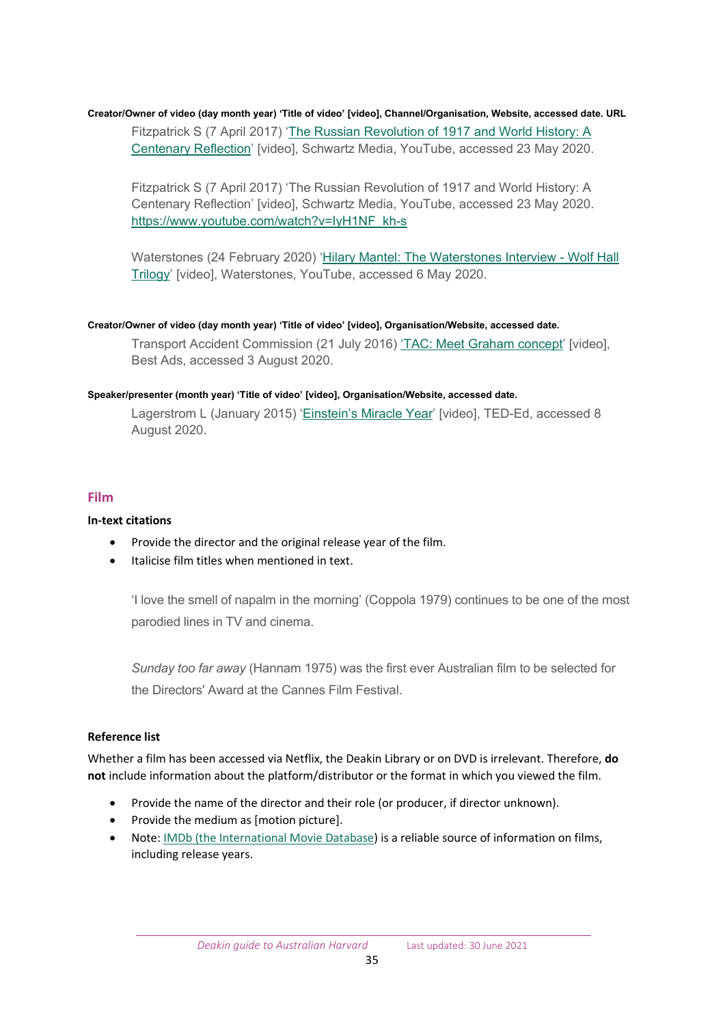## **Creator/Owner of video (day month year) 'Title of video' [video], Channel/Organisation, Website, accessed date. URL** Fitzpatrick S (7 April 2017) '[The Russian Revolution of 1917 and World History: A](https://www.youtube.com/watch?v=IyH1NF_kh-s)  [Centenary Reflection'](https://www.youtube.com/watch?v=IyH1NF_kh-s) [video], Schwartz Media, YouTube, accessed 23 May 2020.

Fitzpatrick S (7 April 2017) 'The Russian Revolution of 1917 and World History: A Centenary Reflection' [video], Schwartz Media, YouTube, accessed 23 May 2020. [https://www.youtube.com/watch?v=IyH1NF\\_kh](https://www.youtube.com/watch?v=IyH1NF_kh-s)-s

Waterstones (24 February 2020) ['Hilary Mantel: The Waterstones Interview -](https://www.youtube.com/watch?v=LsZrYQ2Ud_c) Wolf Hall [Trilogy'](https://www.youtube.com/watch?v=LsZrYQ2Ud_c) [video], Waterstones, YouTube, accessed 6 May 2020.

## **Creator/Owner of video (day month year) 'Title of video' [video], Organisation/Website, accessed date.**

Transport Accident Commission (21 July 2016) ['TAC: Meet Graham concept'](https://www.bestadsontv.com/ad/80872/TAC-Meet-Graham-concept) [video], Best Ads, accessed 3 August 2020.

## **Speaker/presenter (month year) 'Title of video' [video], Organisation/Website, accessed date.**

Lagerstrom L (January 2015) ['Einstein's Miracle Year'](https://www.ted.com/talks/larry_lagerstrom_einstein_s_miracle_year) [video], TED-Ed, accessed 8 August 2020.

## <span id="page-34-0"></span>**Film**

## **In-text citations**

- Provide the director and the original release year of the film.
- Italicise film titles when mentioned in text.

'I love the smell of napalm in the morning' (Coppola 1979) continues to be one of the most parodied lines in TV and cinema.

*Sunday too far away* (Hannam 1975) was the first ever Australian film to be selected for the Directors' Award at the Cannes Film Festival.

## **Reference list**

Whether a film has been accessed via Netflix, the Deakin Library or on DVD is irrelevant. Therefore, **do not** include information about the platform/distributor or the format in which you viewed the film.

- Provide the name of the director and their role (or producer, if director unknown).
- Provide the medium as [motion picture].
- Note: [IMDb \(the International Movie Database\)](https://www.imdb.com/) is a reliable source of information on films, including release years.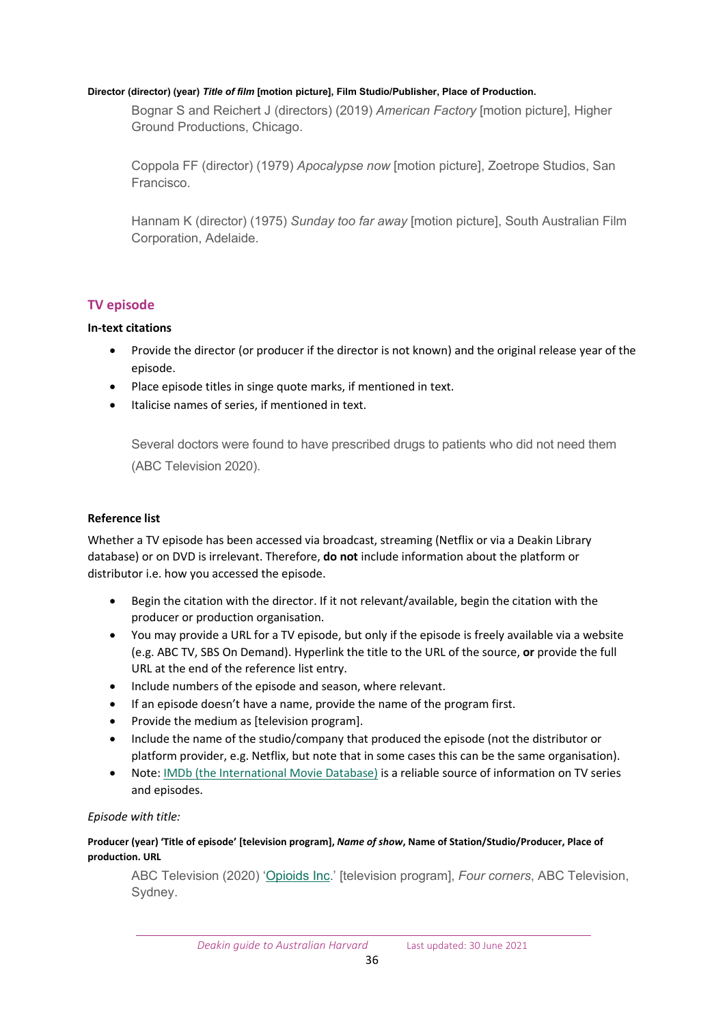#### **Director (director) (year)** *Title of film* **[motion picture], Film Studio/Publisher, Place of Production.**

Bognar S and Reichert J (directors) (2019) *American Factory* [motion picture], Higher Ground Productions, Chicago.

Coppola FF (director) (1979) *Apocalypse now* [motion picture], Zoetrope Studios, San Francisco.

Hannam K (director) (1975) *Sunday too far away* [motion picture], South Australian Film Corporation, Adelaide.

## <span id="page-35-0"></span>**TV episode**

## **In-text citations**

- Provide the director (or producer if the director is not known) and the original release year of the episode.
- Place episode titles in singe quote marks, if mentioned in text.
- Italicise names of series, if mentioned in text.

Several doctors were found to have prescribed drugs to patients who did not need them (ABC Television 2020).

## **Reference list**

Whether a TV episode has been accessed via broadcast, streaming (Netflix or via a Deakin Library database) or on DVD is irrelevant. Therefore, **do not** include information about the platform or distributor i.e. how you accessed the episode.

- Begin the citation with the director. If it not relevant/available, begin the citation with the producer or production organisation.
- You may provide a URL for a TV episode, but only if the episode is freely available via a website (e.g. ABC TV, SBS On Demand). Hyperlink the title to the URL of the source, **or** provide the full URL at the end of the reference list entry.
- Include numbers of the episode and season, where relevant.
- If an episode doesn't have a name, provide the name of the program first.
- Provide the medium as [television program].
- Include the name of the studio/company that produced the episode (not the distributor or platform provider, e.g. Netflix, but note that in some cases this can be the same organisation).
- Note: [IMDb \(the International Movie Database\)](https://www.imdb.com/) is a reliable source of information on TV series and episodes.

## *Episode with title:*

## **Producer (year) 'Title of episode' [television program],** *Name of show***, Name of Station/Studio/Producer, Place of production. URL**

ABC Television (2020) ['Opioids](https://www.abc.net.au/4corners/opioids,-inc/12624450) Inc.' [television program], *Four corners*, ABC Television, Sydney.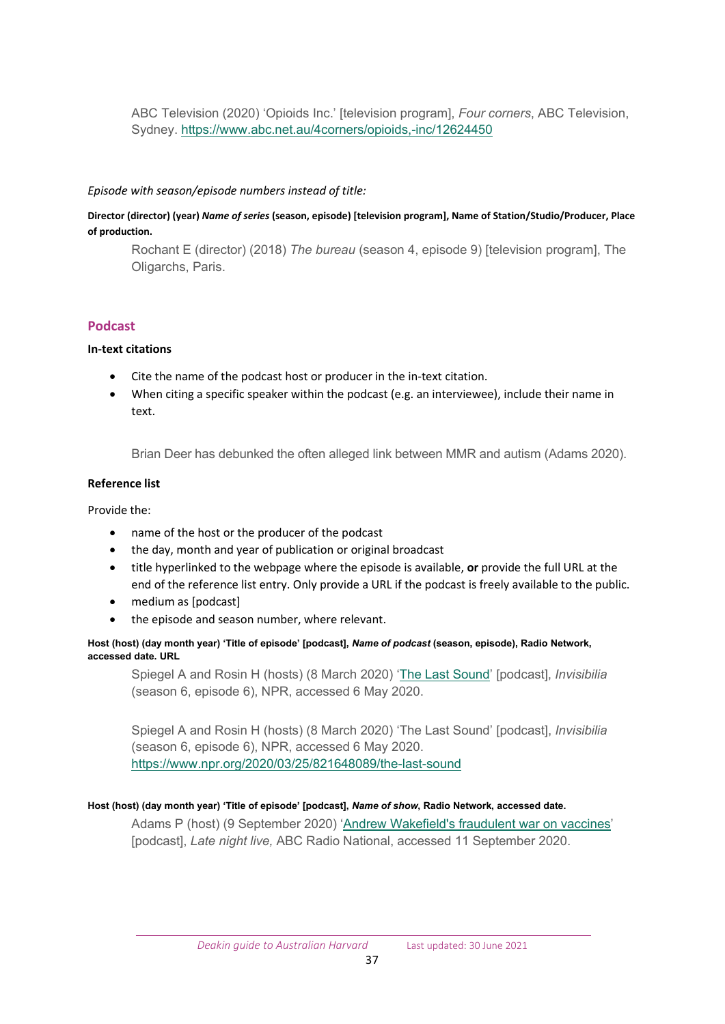ABC Television (2020) 'Opioids Inc.' [television program], *Four corners*, ABC Television, Sydney. [https://www.abc.net.au/4corners/opioids,](https://www.abc.net.au/4corners/opioids,-inc/12624450)-inc/12624450

#### *Episode with season/episode numbers instead of title:*

**Director (director) (year)** *Name of series* **(season, episode) [television program], Name of Station/Studio/Producer, Place of production.** 

Rochant E (director) (2018) *The bureau* (season 4, episode 9) [television program], The Oligarchs, Paris.

## <span id="page-36-0"></span>**Podcast**

#### **In-text citations**

- Cite the name of the podcast host or producer in the in-text citation.
- When citing a specific speaker within the podcast (e.g. an interviewee), include their name in text.

Brian Deer has debunked the often alleged link between MMR and autism (Adams 2020).

## **Reference list**

Provide the:

- name of the host or the producer of the podcast
- the day, month and year of publication or original broadcast
- title hyperlinked to the webpage where the episode is available, **or** provide the full URL at the end of the reference list entry. Only provide a URL if the podcast is freely available to the public.
- medium as [podcast]
- the episode and season number, where relevant.

**Host (host) (day month year) 'Title of episode' [podcast],** *Name of podcast* **(season, episode), Radio Network, accessed date. URL**

Spiegel A and Rosin H (hosts) (8 March 2020) ['The Last Sound'](https://www.npr.org/2020/03/25/821648089/the-last-sound) [podcast], *Invisibilia* (season 6, episode 6), NPR, accessed 6 May 2020.

Spiegel A and Rosin H (hosts) (8 March 2020) 'The Last Sound' [podcast], *Invisibilia* (season 6, episode 6), NPR, accessed 6 May 2020. [https://www.npr.org/2020/03/25/821648089/the](https://www.npr.org/2020/03/25/821648089/the-last-sound)-last-sound

#### **Host (host) (day month year) 'Title of episode' [podcast],** *Name of show***, Radio Network, accessed date.**

Adams P (host) (9 September 2020) '[Andrew Wakefield's fraudulent war on vaccines](https://www.abc.net.au/radionational/programs/latenightlive/the-fraud-behind-anti-vaccination-claims/12646730)' [podcast], *Late night live,* ABC Radio National, accessed 11 September 2020.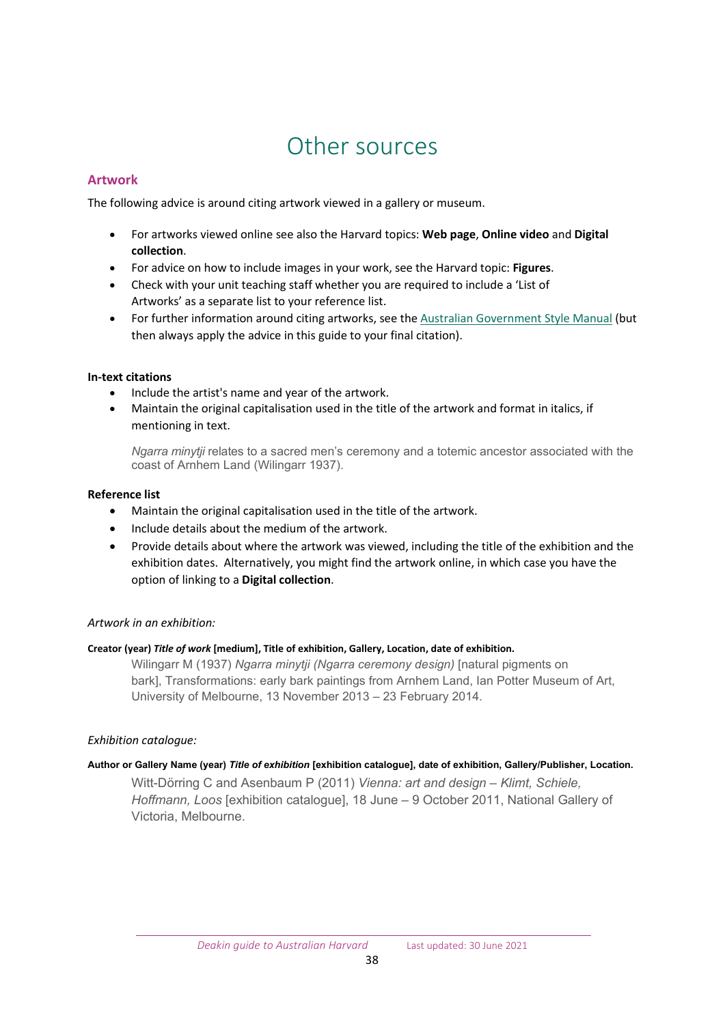## Other sources

## <span id="page-37-1"></span><span id="page-37-0"></span>**Artwork**

The following advice is around citing artwork viewed in a gallery or museum.

- For artworks viewed online see also the Harvard topics: **Web page**, **Online video** and **Digital collection**.
- For advice on how to include images in your work, see the Harvard topic: **Figures**.
- Check with your unit teaching staff whether you are required to include a 'List of Artworks' as a separate list to your reference list.
- For further information around citing artworks, see th[e Australian Government Style Manual](https://www.stylemanual.gov.au/style-rules-and-conventions/referencing-and-attribution/author-date/works-art) (but then always apply the advice in this guide to your final citation).

## **In-text citations**

- Include the artist's name and year of the artwork.
- Maintain the original capitalisation used in the title of the artwork and format in italics, if mentioning in text.

*Ngarra minytji* relates to a sacred men's ceremony and a totemic ancestor associated with the coast of Arnhem Land (Wilingarr 1937).

## **Reference list**

- Maintain the original capitalisation used in the title of the artwork.
- Include details about the medium of the artwork.
- Provide details about where the artwork was viewed, including the title of the exhibition and the exhibition dates. Alternatively, you might find the artwork online, in which case you have the option of linking to a **Digital collection**.

## *Artwork in an exhibition:*

#### **Creator (year)***Title of work***[medium], Title of exhibition, Gallery, Location, date of exhibition.**

Wilingarr M (1937) *Ngarra minytji (Ngarra ceremony design)* [natural pigments on bark], Transformations: early bark paintings from Arnhem Land, Ian Potter Museum of Art, University of Melbourne, 13 November 2013 – 23 February 2014.

#### *Exhibition catalogue:*

#### **Author or Gallery Name (year)** *Title of exhibition* **[exhibition catalogue], date of exhibition, Gallery/Publisher, Location.**

Witt-Dörring C and Asenbaum P (2011) *Vienna: art and design – Klimt, Schiele, Hoffmann, Loos* [exhibition catalogue], 18 June – 9 October 2011, National Gallery of Victoria, Melbourne.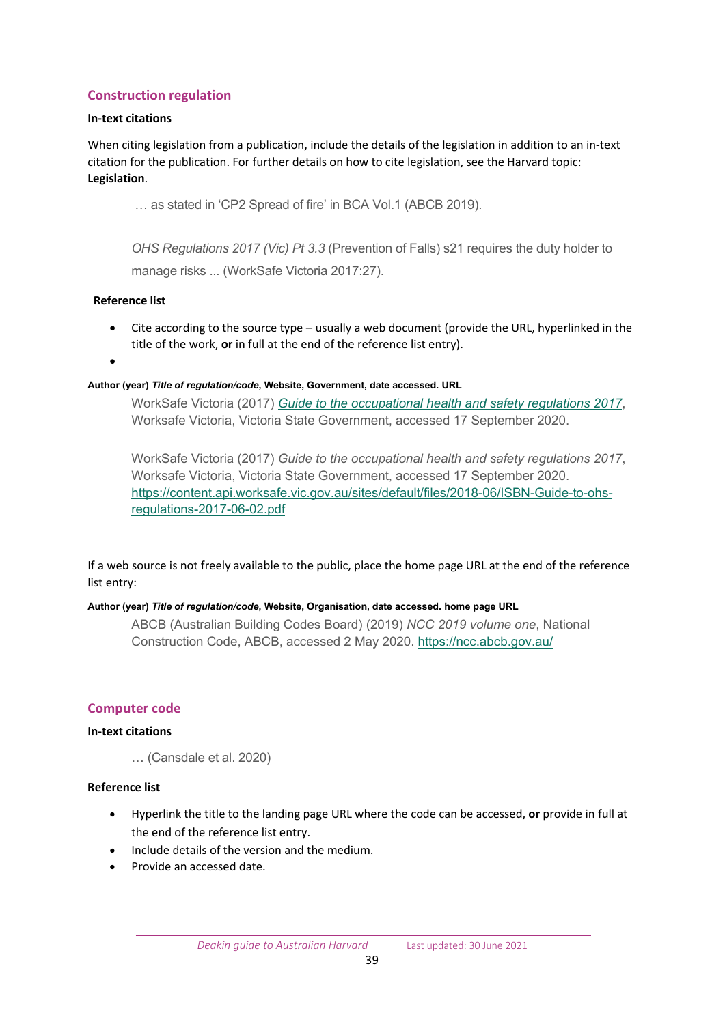## <span id="page-38-0"></span>**Construction regulation**

#### **In-text citations**

When citing legislation from a publication, include the details of the legislation in addition to an in-text citation for the publication. For further details on how to cite legislation, see the Harvard topic: **Legislation**.

… as stated in 'CP2 Spread of fire' in BCA Vol.1 (ABCB 2019).

*OHS Regulations 2017 (Vic) Pt 3.3* (Prevention of Falls) s21 requires the duty holder to manage risks ... (WorkSafe Victoria 2017:27).

## **Reference list**

- Cite according to the source type usually a web document (provide the URL, hyperlinked in the title of the work, **or** in full at the end of the reference list entry).
- •

#### **Author (year)** *Title of regulation/code***, Website, Government, date accessed. URL**

WorkSafe Victoria (2017) *[Guide to the occupational health and safety regulations 2017](https://content.api.worksafe.vic.gov.au/sites/default/files/2018-06/ISBN-Guide-to-ohs-regulations-2017-06-02.pdf)*, Worksafe Victoria, Victoria State Government, accessed 17 September 2020.

WorkSafe Victoria (2017) *Guide to the occupational health and safety regulations 2017*, Worksafe Victoria, Victoria State Government, accessed 17 September 2020. [https://content.api.worksafe.vic.gov.au/sites/default/files/2018](https://content.api.worksafe.vic.gov.au/sites/default/files/2018-06/ISBN-Guide-to-ohs-regulations-2017-06-02.pdf)-06/ISBN-Guide-to-ohs[regulations-](https://content.api.worksafe.vic.gov.au/sites/default/files/2018-06/ISBN-Guide-to-ohs-regulations-2017-06-02.pdf)2017-06-02.pdf

If a web source is not freely available to the public, place the home page URL at the end of the reference list entry:

#### **Author (year)** *Title of regulation/code***, Website, Organisation, date accessed. home page URL**

ABCB (Australian Building Codes Board) (2019) *NCC 2019 volume one*, National Construction Code, ABCB, accessed 2 May 2020. <https://ncc.abcb.gov.au/>

## <span id="page-38-1"></span>**Computer code**

#### **In-text citations**

… (Cansdale et al. 2020)

#### **Reference list**

- Hyperlink the title to the landing page URL where the code can be accessed, **or** provide in full at the end of the reference list entry.
- Include details of the version and the medium.
- Provide an accessed date.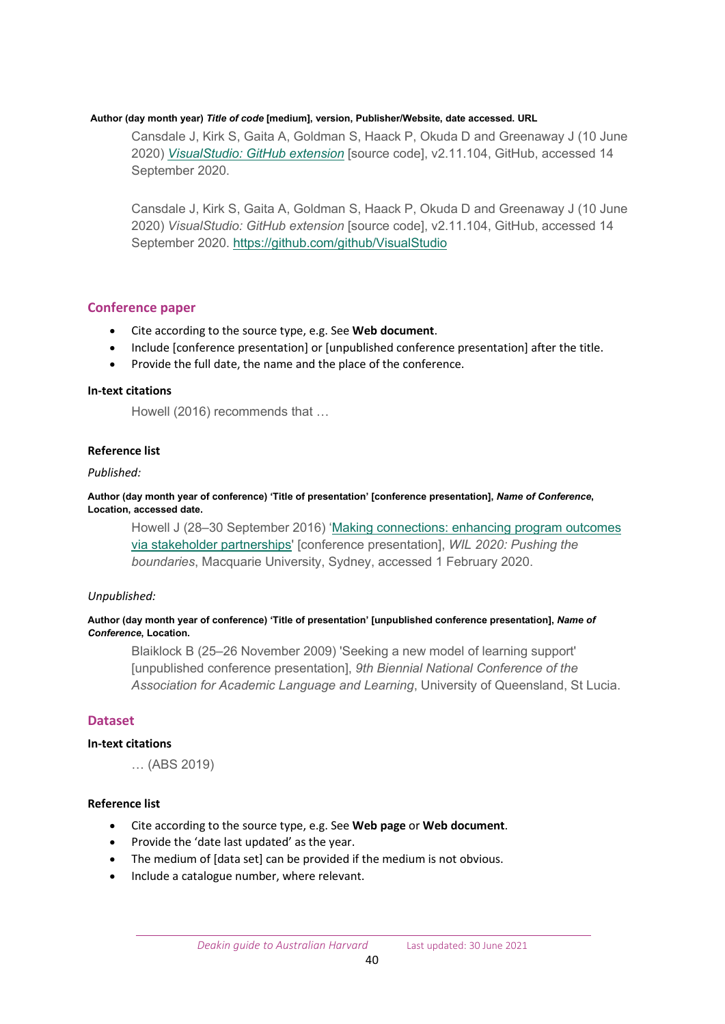#### **Author (day month year)** *Title of code* **[medium], version, Publisher/Website, date accessed. URL**

Cansdale J, Kirk S, Gaita A, Goldman S, Haack P, Okuda D and Greenaway J (10 June 2020) *[VisualStudio: GitHub extension](https://github.com/github/VisualStudio)* [source code], v2.11.104, GitHub, accessed 14 September 2020.

Cansdale J, Kirk S, Gaita A, Goldman S, Haack P, Okuda D and Greenaway J (10 June 2020) *VisualStudio: GitHub extension* [source code], v2.11.104, GitHub, accessed 14 September 2020. <https://github.com/github/VisualStudio>

## <span id="page-39-0"></span>**Conference paper**

- Cite according to the source type, e.g. See **Web document**.
- Include [conference presentation] or [unpublished conference presentation] after the title.
- Provide the full date, the name and the place of the conference.

#### **In-text citations**

Howell (2016) recommends that …

#### **Reference list**

#### *Published:*

**Author (day month year of conference) 'Title of presentation' [conference presentation],** *Name of Conference***, Location, accessed date.**

Howell J (28–30 September 2016) 'Making connections: e[nhancing program outcomes](http://acen.edu.au/resources/2016-conference-proceeedings/)  [via stakeholder partnerships](http://acen.edu.au/resources/2016-conference-proceeedings/)' [conference presentation], *WIL 2020: Pushing the boundaries*, Macquarie University, Sydney, accessed 1 February 2020.

#### *Unpublished:*

#### **Author (day month year of conference) 'Title of presentation' [unpublished conference presentation],** *Name of Conference***, Location.**

Blaiklock B (25–26 November 2009) 'Seeking a new model of learning support' [unpublished conference presentation], *9th Biennial National Conference of the Association for Academic Language and Learning*, University of Queensland, St Lucia.

#### <span id="page-39-1"></span>**Dataset**

#### **In-text citations**

… (ABS 2019)

#### **Reference list**

- Cite according to the source type, e.g. See **Web page** or **Web document**.
- Provide the 'date last updated' as the year.
- The medium of [data set] can be provided if the medium is not obvious.
- Include a catalogue number, where relevant.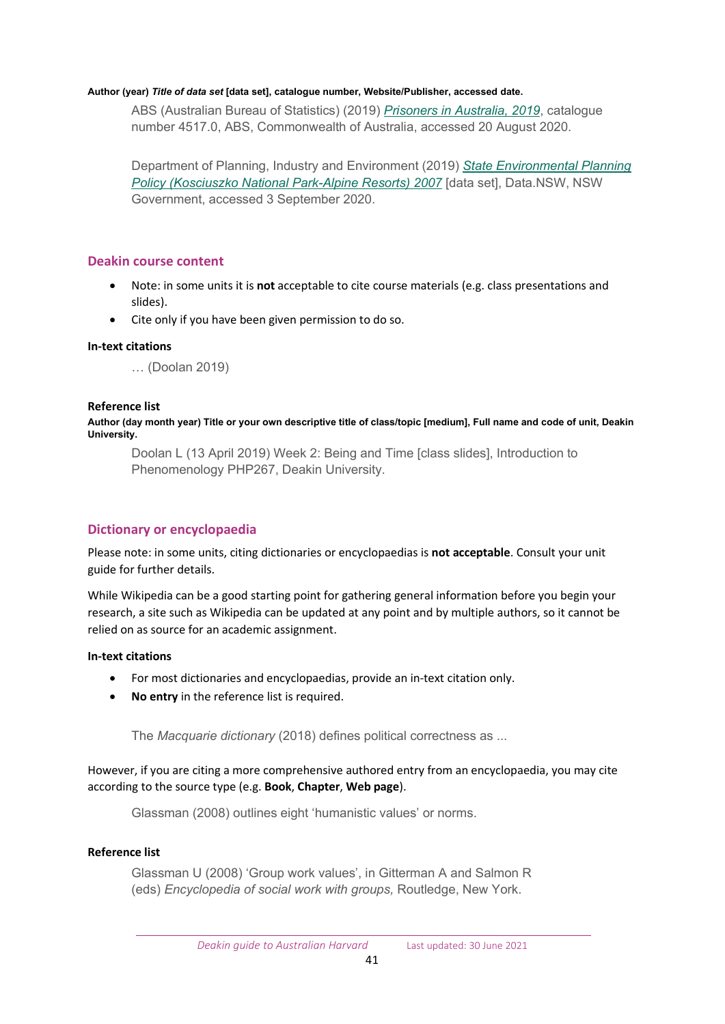#### **Author (year)** *Title of data set* **[data set], catalogue number, Website/Publisher, accessed date.**

ABS (Australian Bureau of Statistics) (2019) *[Prisoners in Australia, 2019](https://www.abs.gov.au/ausstats/abs@.nsf/Lookup/by%20Subject/4517.0%7E2019%7EMain%20Features%7EKey%20statistics%7E1)*, catalogue number 4517.0, ABS, Commonwealth of Australia, accessed 20 August 2020.

Department of Planning, Industry and Environment (2019) *[State Environmental Planning](https://data.nsw.gov.au/data/dataset/45741aaa-aa47-44d7-ad3e-7b5aab7fe4b0)  [Policy \(Kosciuszko National Park-Alpine Resorts\) 2007](https://data.nsw.gov.au/data/dataset/45741aaa-aa47-44d7-ad3e-7b5aab7fe4b0)* [data set], Data.NSW, NSW Government, accessed 3 September 2020.

## <span id="page-40-0"></span>**Deakin course content**

- Note: in some units it is **not** acceptable to cite course materials (e.g. class presentations and slides).
- Cite only if you have been given permission to do so.

## **In-text citations**

… (Doolan 2019)

#### **Reference list**

**Author (day month year) Title or your own descriptive title of class/topic [medium], Full name and code of unit, Deakin University.**

Doolan L (13 April 2019) Week 2: Being and Time [class slides], Introduction to Phenomenology PHP267, Deakin University.

## <span id="page-40-1"></span>**Dictionary or encyclopaedia**

Please note: in some units, citing dictionaries or encyclopaedias is **not acceptable**. Consult your unit guide for further details.

While Wikipedia can be a good starting point for gathering general information before you begin your research, a site such as Wikipedia can be updated at any point and by multiple authors, so it cannot be relied on as source for an academic assignment.

#### **In-text citations**

- For most dictionaries and encyclopaedias, provide an in-text citation only.
- **No entry** in the reference list is required.

The *Macquarie dictionary* (2018) defines political correctness as ...

However, if you are citing a more comprehensive authored entry from an encyclopaedia, you may cite according to the source type (e.g. **Book**, **Chapter**, **Web page**).

Glassman (2008) outlines eight 'humanistic values' or norms.

#### **Reference list**

Glassman U (2008) 'Group work values', in Gitterman A and Salmon R (eds) *Encyclopedia of social work with groups,* Routledge, New York.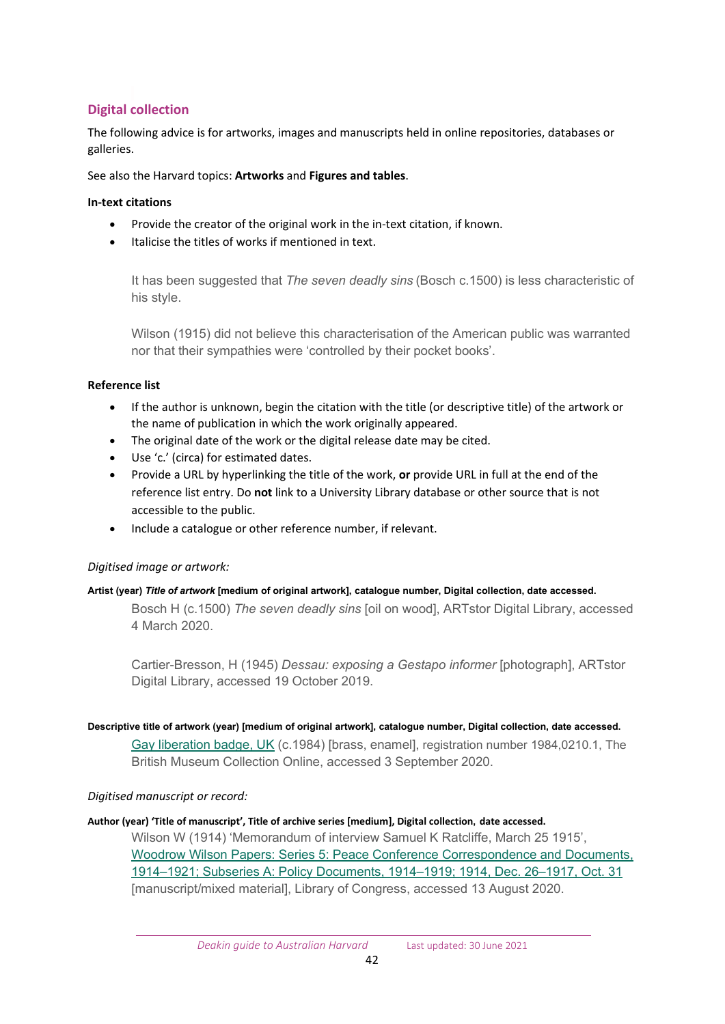## <span id="page-41-0"></span>**Digital collection**

The following advice is for artworks, images and manuscripts held in online repositories, databases or galleries.

See also the Harvard topics: **Artworks** and **Figures and tables**.

## **In-text citations**

- Provide the creator of the original work in the in-text citation, if known.
- Italicise the titles of works if mentioned in text.

It has been suggested that *The seven deadly sins* (Bosch c.1500) is less characteristic of his style.

Wilson (1915) did not believe this characterisation of the American public was warranted nor that their sympathies were 'controlled by their pocket books'.

## **Reference list**

- If the author is unknown, begin the citation with the title (or descriptive title) of the artwork or the name of publication in which the work originally appeared.
- The original date of the work or the digital release date may be cited.
- Use 'c.' (circa) for estimated dates.
- Provide a URL by hyperlinking the title of the work, **or** provide URL in full at the end of the reference list entry. Do **not** link to a University Library database or other source that is not accessible to the public.
- Include a catalogue or other reference number, if relevant.

## *Digitised image or artwork:*

#### **Artist (year)** *Title of artwork* **[medium of original artwork], catalogue number, Digital collection, date accessed.**

Bosch H (c.1500) *The seven deadly sins* [oil on wood], ARTstor Digital Library, accessed 4 March 2020.

Cartier-Bresson, H (1945) *Dessau: exposing a Gestapo informer* [photograph], ARTstor Digital Library, accessed 19 October 2019.

#### **Descriptive title of artwork (year) [medium of original artwork], catalogue number, Digital collection, date accessed.**

[Gay liberation badge, UK](https://www.britishmuseum.org/collection/object/C_1984-0210-1) (c.1984) [brass, enamel], registration number 1984,0210.1, The British Museum Collection Online, accessed 3 September 2020.

## *Digitised manuscript or record:*

#### **Author (year) 'Title of manuscript', Title of archive series [medium], Digital collection, date accessed.**

Wilson W (1914) 'Memorandum of interview Samuel K Ratcliffe, March 25 1915', [Woodrow Wilson Papers: Series 5: Peace Conference Correspondence and Documents,](https://www.loc.gov/item/mss4602900639/)  1914–[1921; Subseries A: Policy Documents, 191](https://www.loc.gov/item/mss4602900639/)4–1919; 1914, Dec. 26–1917, Oct. 31 [manuscript/mixed material], Library of Congress, accessed 13 August 2020.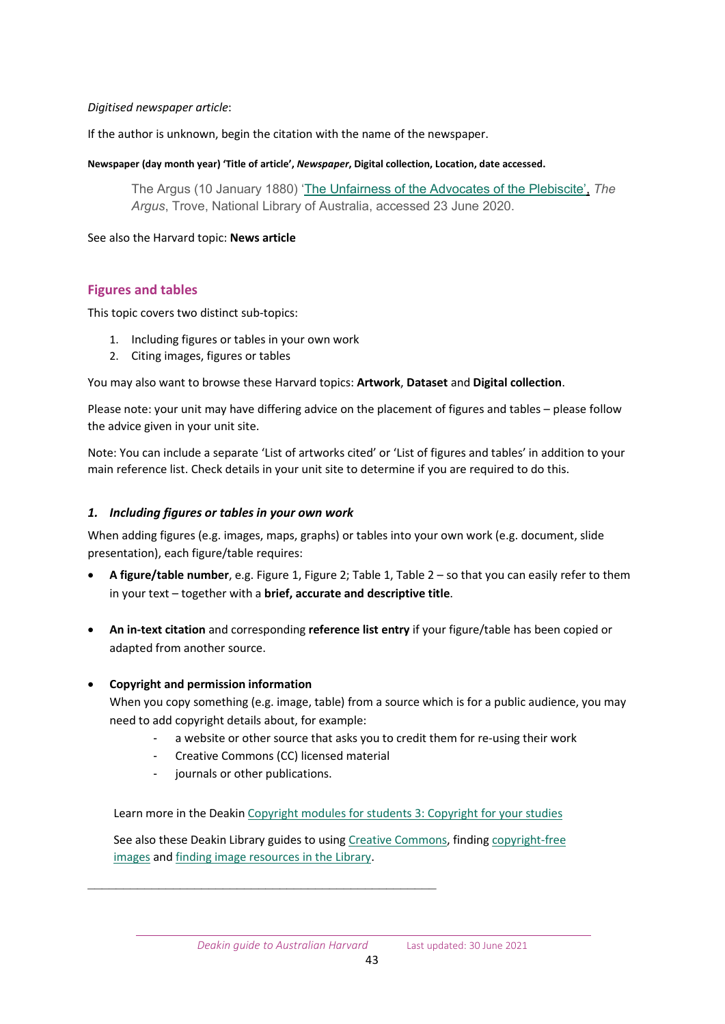#### *Digitised newspaper article*:

If the author is unknown, begin the citation with the name of the newspaper.

#### **Newspaper (day month year) 'Title of article',** *Newspaper***, Digital collection, Location, date accessed.**

The Argus (10 January 1880) ['The Unfairness of the Advocates of the Plebiscite',](https://trove.nla.gov.au/newspaper/title/13) *The Argus*, Trove, National Library of Australia, accessed 23 June 2020.

## See also the Harvard topic: **News article**

## <span id="page-42-0"></span>**Figures and tables**

This topic covers two distinct sub-topics:

- 1. Including figures or tables in your own work
- 2. Citing images, figures or tables

You may also want to browse these Harvard topics: **Artwork**, **Dataset** and **Digital collection**.

Please note: your unit may have differing advice on the placement of figures and tables – please follow the advice given in your unit site.

Note: You can include a separate 'List of artworks cited' or 'List of figures and tables' in addition to your main reference list. Check details in your unit site to determine if you are required to do this.

## *1. Including figures or tables in your own work*

When adding figures (e.g. images, maps, graphs) or tables into your own work (e.g. document, slide presentation), each figure/table requires:

- **A figure/table number**, e.g. Figure 1, Figure 2; Table 1, Table 2 so that you can easily refer to them in your text – together with a **brief, accurate and descriptive title**.
- **An in-text citation** and corresponding **reference list entry** if your figure/table has been copied or adapted from another source.

## • **Copyright and permission information**

When you copy something (e.g. image, table) from a source which is for a public audience, you may need to add copyright details about, for example:

- a website or other source that asks you to credit them for re-using their work
- Creative Commons (CC) licensed material
- journals or other publications.

Learn more in the Deaki[n Copyright modules for students 3: Copyright for your studies](https://deakin.libguides.com/copyright-module3/about)

See also these Deakin Library guides to using [Creative Commons,](https://www.deakin.edu.au/library/copyright/the-basics/creative-commons) finding [copyright-free](https://www.deakin.edu.au/library/copyright/find-copyright-free-resources)  [images](https://www.deakin.edu.au/library/copyright/find-copyright-free-resources) and [finding image resources in the Library.](https://www.deakin.edu.au/library/help/image-resources)

\_\_\_\_\_\_\_\_\_\_\_\_\_\_\_\_\_\_\_\_\_\_\_\_\_\_\_\_\_\_\_\_\_\_\_\_\_\_\_\_\_\_\_\_\_\_\_\_\_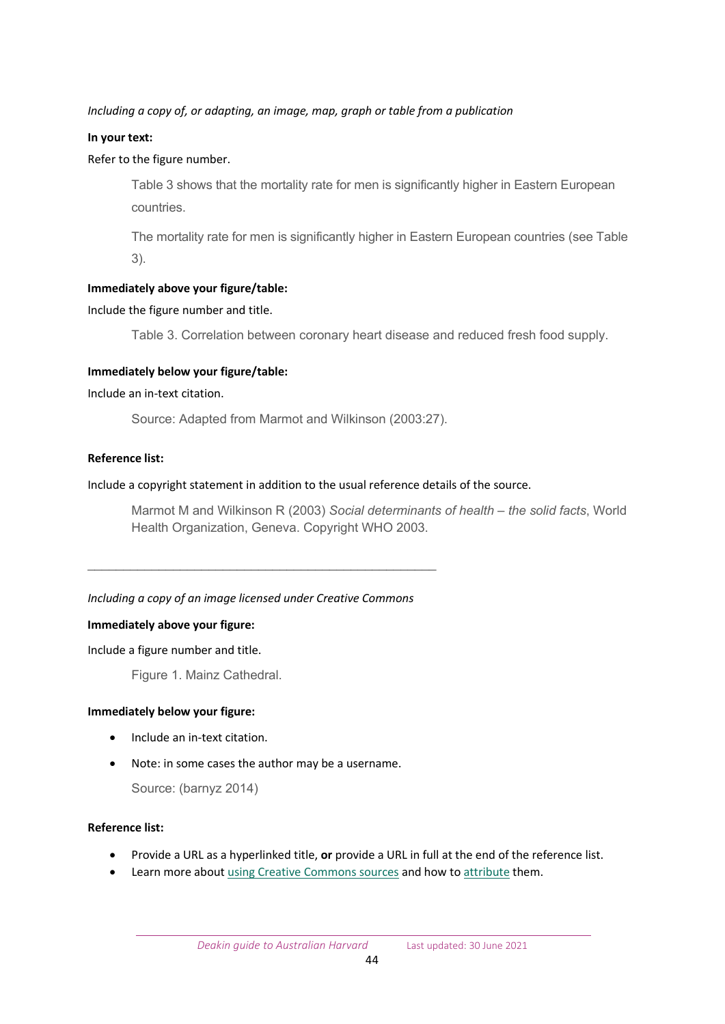## *Including a copy of, or adapting, an image, map, graph or table from a publication*

#### **In your text:**

## Refer to the figure number.

Table 3 shows that the mortality rate for men is significantly higher in Eastern European countries.

The mortality rate for men is significantly higher in Eastern European countries (see Table 3).

## **Immediately above your figure/table:**

#### Include the figure number and title.

Table 3. Correlation between coronary heart disease and reduced fresh food supply.

#### **Immediately below your figure/table:**

#### Include an in-text citation.

Source: Adapted from Marmot and Wilkinson (2003:27).

## **Reference list:**

## Include a copyright statement in addition to the usual reference details of the source.

Marmot M and Wilkinson R (2003) *Social determinants of health – the solid facts*, World Health Organization, Geneva. Copyright WHO 2003.

#### *Including a copy of an image licensed under Creative Commons*

\_\_\_\_\_\_\_\_\_\_\_\_\_\_\_\_\_\_\_\_\_\_\_\_\_\_\_\_\_\_\_\_\_\_\_\_\_\_\_\_\_\_\_\_\_\_\_\_\_

#### **Immediately above your figure:**

Include a figure number and title.

Figure 1. Mainz Cathedral.

#### **Immediately below your figure:**

- Include an in-text citation.
- Note: in some cases the author may be a username.

Source: (barnyz 2014)

#### **Reference list:**

- Provide a URL as a hyperlinked title, **or** provide a URL in full at the end of the reference list.
- Learn more about [using Creative Commons sources](https://www.deakin.edu.au/library/copyright/the-basics/creative-commons) and how t[o attribute](https://www.deakin.edu.au/library/copyright/the-basics/citing-works/example-attributions) them.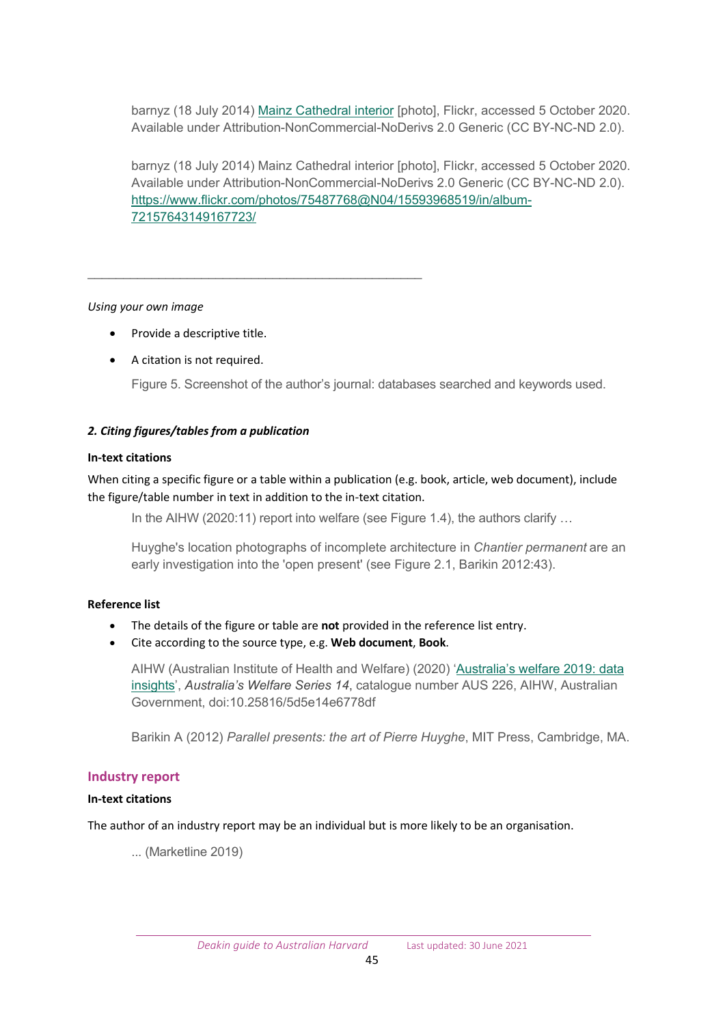barnyz (18 July 2014) Mainz [Cathedral interior](https://www.flickr.com/photos/75487768@N04/15593968519/in/album-72157643149167723/) [photo], Flickr, accessed 5 October 2020. Available under Attribution-NonCommercial-NoDerivs 2.0 Generic (CC BY-NC-ND 2.0).

barnyz (18 July 2014) Mainz Cathedral interior [photo], Flickr, accessed 5 October 2020. Available under Attribution-NonCommercial-NoDerivs 2.0 Generic (CC BY-NC-ND 2.0). [https://www.flickr.com/photos/75487768@N04/15593968519/in/album](https://www.flickr.com/photos/75487768@N04/15593968519/in/album-72157643149167723/)-[72157643149167723/](https://www.flickr.com/photos/75487768@N04/15593968519/in/album-72157643149167723/)

## *Using your own image*

• Provide a descriptive title.

\_\_\_\_\_\_\_\_\_\_\_\_\_\_\_\_\_\_\_\_\_\_\_\_\_\_\_\_\_\_\_\_\_\_\_\_\_\_\_\_\_\_\_\_\_\_\_

• A citation is not required.

Figure 5. Screenshot of the author's journal: databases searched and keywords used.

## *2. Citing figures/tables from a publication*

## **In-text citations**

When citing a specific figure or a table within a publication (e.g. book, article, web document), include the figure/table number in text in addition to the in-text citation.

In the AIHW (2020:11) report into welfare (see Figure 1.4), the authors clarify ...

Huyghe's location photographs of incomplete architecture in *Chantier permanent* are an early investigation into the 'open present' (see Figure 2.1, Barikin 2012:43).

## **Reference list**

- The details of the figure or table are **not** provided in the reference list entry.
- Cite according to the source type, e.g. **Web document**, **Book**.

AIHW (Australian Institute of Health and Welfare) (2020) ['Australia's](https://www.aihw.gov.au/reports/australias-welfare/australias-welfare-2019-data-insights/contents/summary) welfare 2019: data insights', *Australia's Welfare Series 14*, catalogue number AUS 226, AIHW, Australian Government, doi:10.25816/5d5e14e6778df

Barikin A (2012) *Parallel presents: the art of Pierre Huyghe*, MIT Press, Cambridge, MA.

## <span id="page-44-0"></span>**Industry report**

## **In-text citations**

The author of an industry report may be an individual but is more likely to be an organisation.

... (Marketline 2019)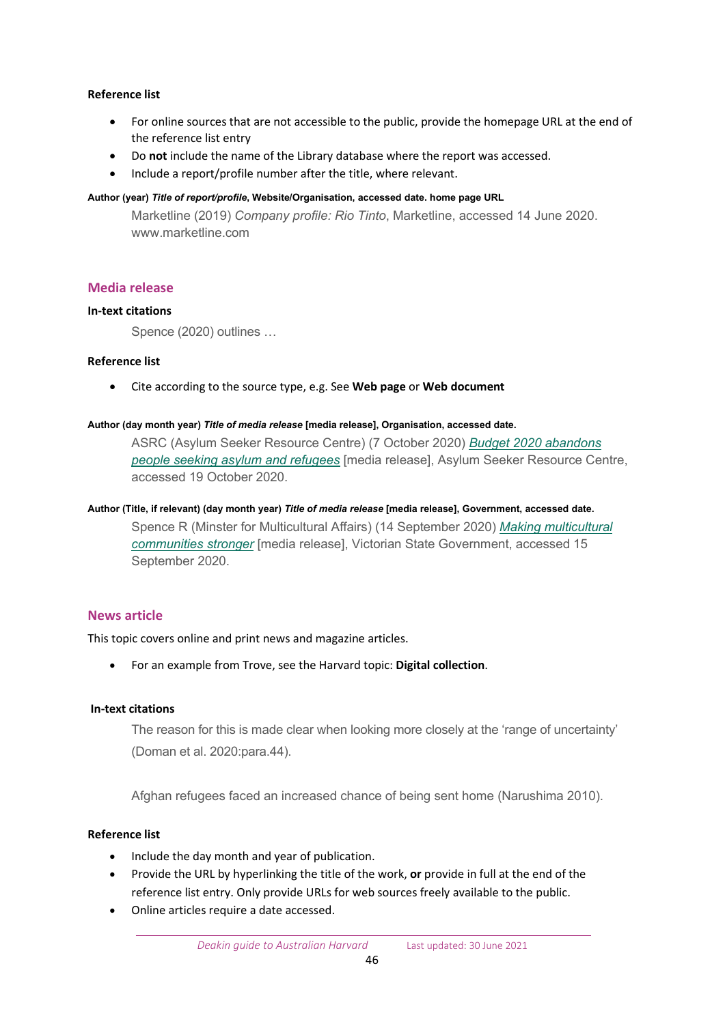## **Reference list**

- For online sources that are not accessible to the public, provide the homepage URL at the end of the reference list entry
- Do **not** include the name of the Library database where the report was accessed.
- Include a report/profile number after the title, where relevant.

#### **Author (year)** *Title of report/profile***, Website/Organisation, accessed date. home page URL**

Marketline (2019) *Company profile: Rio Tinto*, Marketline, accessed 14 June 2020. www.marketline.com

## <span id="page-45-0"></span>**Media release**

#### **In-text citations**

Spence (2020) outlines …

#### **Reference list**

• Cite according to the source type, e.g. See **Web page** or **Web document**

#### **Author (day month year)** *Title of media release* **[media release], Organisation, accessed date.**

ASRC (Asylum Seeker Resource Centre) (7 October 2020) *[Budget 2020 abandons](https://www.asrc.org.au/media-centre/)  [people seeking asylum and refugees](https://www.asrc.org.au/media-centre/)* [media release], Asylum Seeker Resource Centre, accessed 19 October 2020.

#### **Author (Title, if relevant) (day month year)** *Title of media release* **[media release], Government, accessed date.**

Spence R (Minster for Multicultural Affairs) (14 September 2020) *[Making multicultural](https://www.premier.vic.gov.au/making-multicultural-communities-stronger)  [communities stronger](https://www.premier.vic.gov.au/making-multicultural-communities-stronger)* [media release], Victorian State Government, accessed 15 September 2020.

## <span id="page-45-1"></span>**News article**

This topic covers online and print news and magazine articles.

• For an example from Trove, see the Harvard topic: **Digital collection**.

#### **In-text citations**

The reason for this is made clear when looking more closely at the 'range of uncertainty' (Doman et al. 2020:para.44).

Afghan refugees faced an increased chance of being sent home (Narushima 2010).

## **Reference list**

- Include the day month and year of publication.
- Provide the URL by hyperlinking the title of the work, **or** provide in full at the end of the reference list entry. Only provide URLs for web sources freely available to the public.
- Online articles require a date accessed.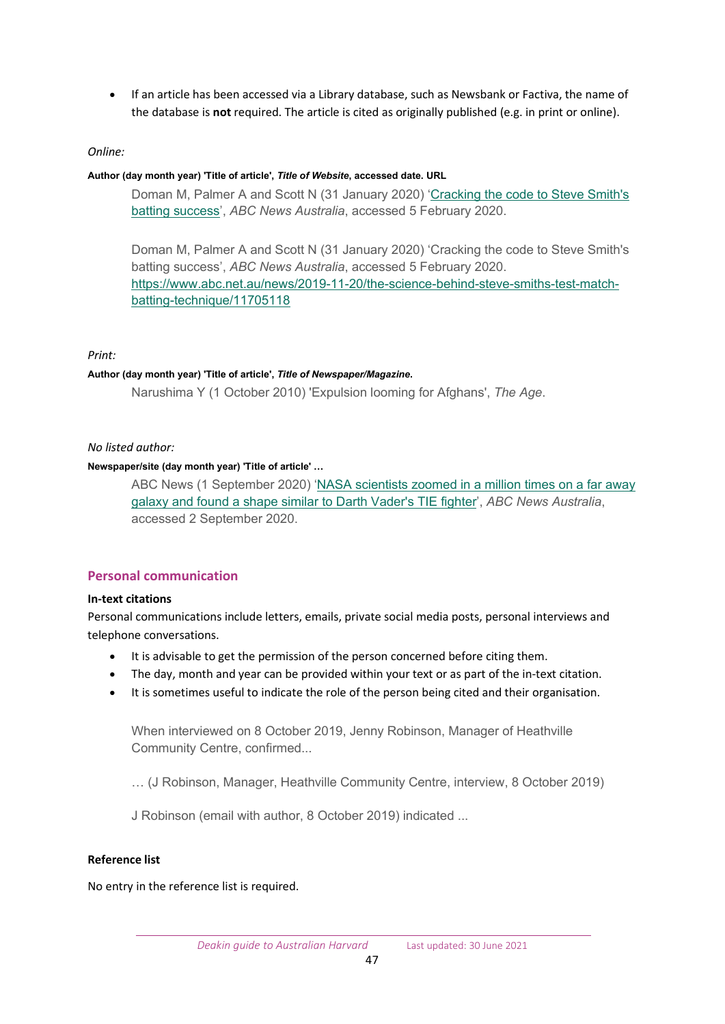• If an article has been accessed via a Library database, such as Newsbank or Factiva, the name of the database is **not** required. The article is cited as originally published (e.g. in print or online).

## *Online:*

#### **Author (day month year) 'Title of article',** *Title of Website***, accessed date. URL**

Doman M, Palmer A and Scott N (31 January 2020) '[Cracking the code to Steve Smith's](https://www.abc.net.au/news/2019-11-20/the-science-behind-steve-smiths-test-match-batting-technique/11705118)  [batting success',](https://www.abc.net.au/news/2019-11-20/the-science-behind-steve-smiths-test-match-batting-technique/11705118) *ABC News Australia*, accessed 5 February 2020.

Doman M, Palmer A and Scott N (31 January 2020) 'Cracking the code to Steve Smith's batting success', *ABC News Australia*, accessed 5 February 2020. https://www.abc.net.au/news/2019-11-20/the[-science-behind-steve-smiths-test-match](https://www.abc.net.au/news/2019-11-20/the-science-behind-steve-smiths-test-match-batting-technique/11705118)batting-[technique/11705118](https://www.abc.net.au/news/2019-11-20/the-science-behind-steve-smiths-test-match-batting-technique/11705118)

## *Print:*

#### **Author (day month year) 'Title of article',** *Title of Newspaper/Magazine***.**

Narushima Y (1 October 2010) 'Expulsion looming for Afghans', *The Age*.

## *No listed author:*

## **Newspaper/site (day month year) 'Title of article' …**

ABC News (1 September 2020) 'NASA scientists zoomed in a million times on a far away [galaxy and found a shape similar to Darth Vader's TIE fighter](https://www.abc.net.au/news/2020-09-01/nasa-finds-darth-vader-tie-fighter-while-mapping-far-away-galaxy/12615782)', *ABC News Australia*, accessed 2 September 2020.

## <span id="page-46-0"></span>**Personal communication**

#### **In-text citations**

Personal communications include letters, emails, private social media posts, personal interviews and telephone conversations.

- It is advisable to get the permission of the person concerned before citing them.
- The day, month and year can be provided within your text or as part of the in-text citation.
- It is sometimes useful to indicate the role of the person being cited and their organisation.

When interviewed on 8 October 2019, Jenny Robinson, Manager of Heathville Community Centre, confirmed...

… (J Robinson, Manager, Heathville Community Centre, interview, 8 October 2019)

J Robinson (email with author, 8 October 2019) indicated ...

#### **Reference list**

No entry in the reference list is required.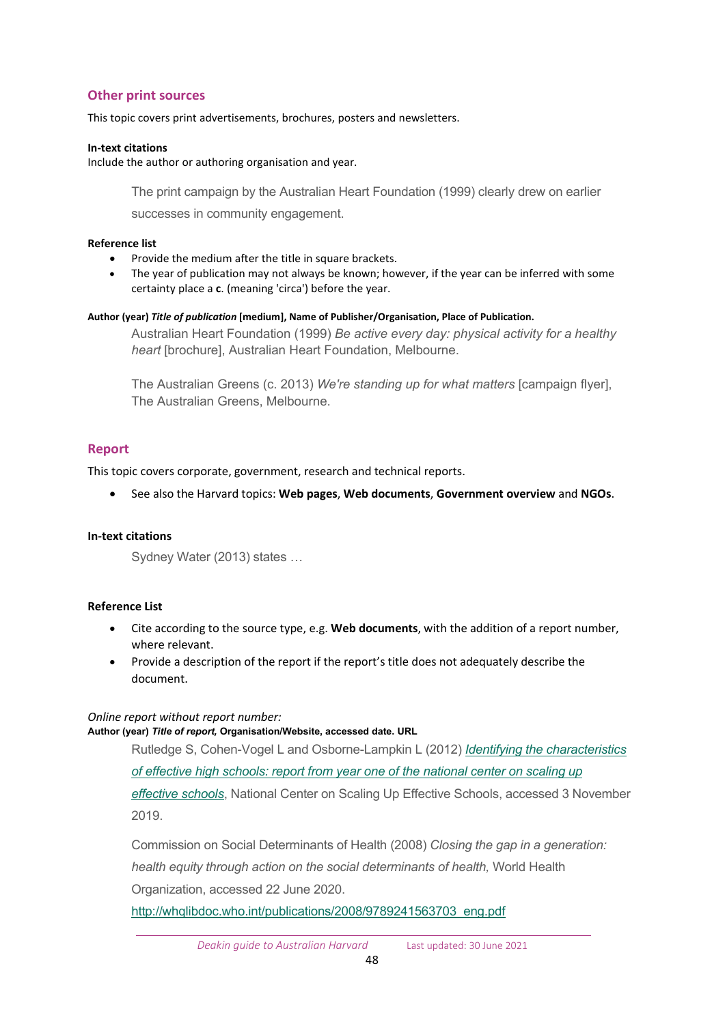## <span id="page-47-0"></span>**Other print sources**

This topic covers print advertisements, brochures, posters and newsletters.

#### **In-text citations**

Include the author or authoring organisation and year.

The print campaign by the Australian Heart Foundation (1999) clearly drew on earlier successes in community engagement.

#### **Reference list**

- Provide the medium after the title in square brackets.
- The year of publication may not always be known; however, if the year can be inferred with some certainty place a **c**. (meaning 'circa') before the year.

#### **Author (year)***Title of publication* **[medium], Name of Publisher/Organisation, Place of Publication.**

Australian Heart Foundation (1999) *Be active every day: physical activity for a healthy heart* [brochure], Australian Heart Foundation, Melbourne.

The Australian Greens (c. 2013) *We're standing up for what matters* [campaign flyer], The Australian Greens, Melbourne.

## <span id="page-47-1"></span>**Report**

This topic covers corporate, government, research and technical reports.

• See also the Harvard topics: **Web pages**, **Web documents**, **Government overview** and **NGOs**.

#### **In-text citations**

Sydney Water (2013) states …

#### **Reference List**

- Cite according to the source type, e.g. **Web documents**, with the addition of a report number, where relevant.
- Provide a description of the report if the report's title does not adequately describe the document.

#### *Online report without report number:* **Author (year)** *Title of report,* **Organisation/Website, accessed date. URL**

Rutledge S, Cohen-Vogel L and Osborne-Lampkin L (2012) *[Identifying the characteristics](http://files.eric.ed.gov/fulltext/ED538011.pdf)  [of effective high schools: report from year](http://files.eric.ed.gov/fulltext/ED538011.pdf) one of the national center on scaling up [effective schools](http://files.eric.ed.gov/fulltext/ED538011.pdf)*, National Center on Scaling Up Effective Schools, accessed 3 November 2019.

Commission on Social Determinants of Health (2008) *Closing the gap in a generation: health equity through action on the social determinants of health,* World Health Organization, accessed 22 June 2020.

[http://whqlibdoc.who.int/publications/2008/9789241563703\\_eng.pdf](http://whqlibdoc.who.int/publications/2008/9789241563703_eng.pdf)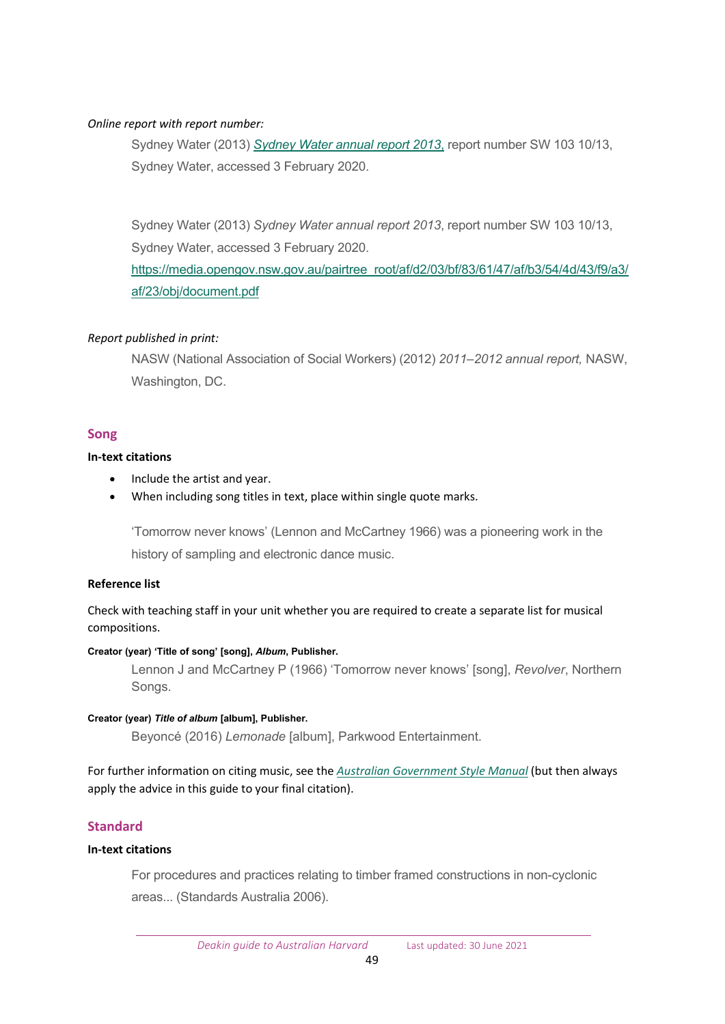## *Online report with report number:*

Sydney Water (2013) *[Sydney Water annual report 2013](https://media.opengov.nsw.gov.au/pairtree_root/af/d2/03/bf/83/61/47/af/b3/54/4d/43/f9/a3/af/23/obj/document.pdf)*, report number SW 103 10/13, Sydney Water, accessed 3 February 2020.

Sydney Water (2013) *Sydney Water annual report 2013*, report number SW 103 10/13, Sydney Water, accessed 3 February 2020. [https://media.opengov.nsw.gov.au/pairtree\\_root/af/d2/03/bf/83/61/47/af/b3/54/4d/43/f9/a3/](https://media.opengov.nsw.gov.au/pairtree_root/af/d2/03/bf/83/61/47/af/b3/54/4d/43/f9/a3/af/23/obj/document.pdf) [af/23/obj/document.pdf](https://media.opengov.nsw.gov.au/pairtree_root/af/d2/03/bf/83/61/47/af/b3/54/4d/43/f9/a3/af/23/obj/document.pdf)

## *Report published in print:*

NASW (National Association of Social Workers) (2012) *2011–2012 annual report,* NASW, Washington, DC.

## <span id="page-48-0"></span>**Song**

## **In-text citations**

- Include the artist and year.
- When including song titles in text, place within single quote marks.

'Tomorrow never knows' (Lennon and McCartney 1966) was a pioneering work in the history of sampling and electronic dance music.

#### **Reference list**

Check with teaching staff in your unit whether you are required to create a separate list for musical compositions.

#### **Creator (year) 'Title of song' [song],** *Album***, Publisher.**

Lennon J and McCartney P (1966) 'Tomorrow never knows' [song], *Revolver*, Northern Songs.

#### **Creator (year)** *Title of album* **[album], Publisher.**

Beyoncé (2016) *Lemonade* [album], Parkwood Entertainment.

For further information on citing music, see the *[Australian Government Style Manual](https://www.stylemanual.gov.au/style-rules-and-conventions/referencing-and-attribution/author-date/musical-compositions)* (but then always apply the advice in this guide to your final citation).

## <span id="page-48-1"></span>**Standard**

#### **In-text citations**

For procedures and practices relating to timber framed constructions in non-cyclonic areas... (Standards Australia 2006).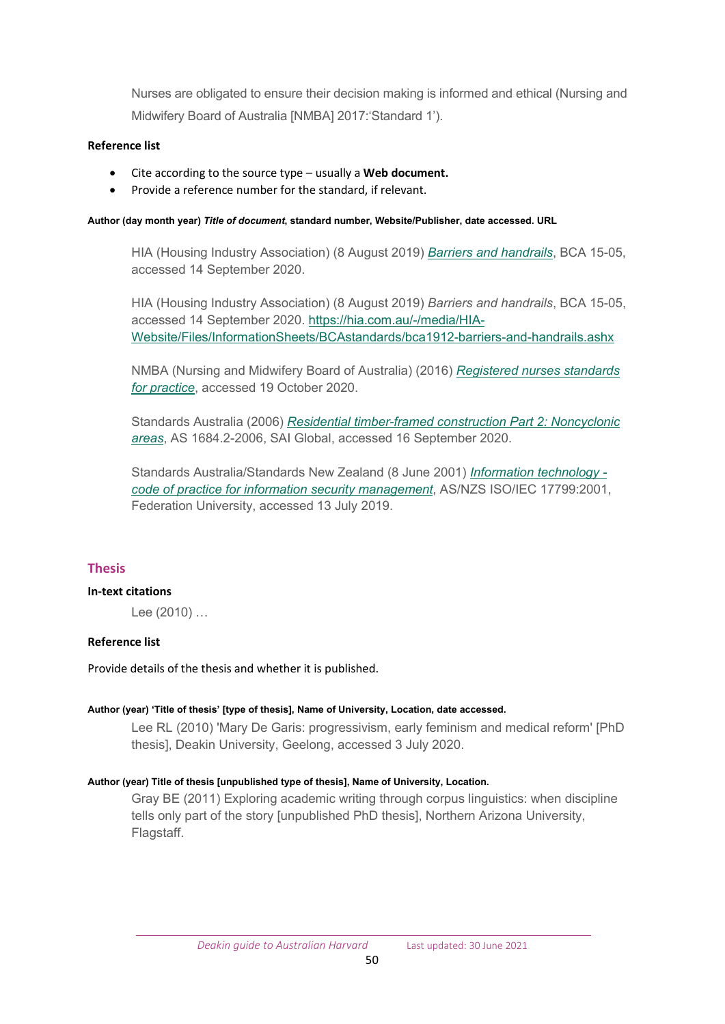Nurses are obligated to ensure their decision making is informed and ethical (Nursing and Midwifery Board of Australia [NMBA] 2017:'Standard 1').

## **Reference list**

- Cite according to the source type usually a **Web document.**
- Provide a reference number for the standard, if relevant.

#### **Author (day month year)** *Title of document***, standard number, Website/Publisher, date accessed. URL**

HIA (Housing Industry Association) (8 August 2019) *[Barriers and handrails](https://hia.com.au/-/media/HIA-Website/Files/InformationSheets/BCAstandards/bca1912-barriers-and-handrails.ashx)*, BCA 15-05, accessed 14 September 2020.

HIA (Housing Industry Association) (8 August 2019) *Barriers and handrails*, BCA 15-05, accessed 14 September 2020. [https://hia.com.au/](https://hia.com.au/-/media/HIA-Website/Files/InformationSheets/BCAstandards/bca1912-barriers-and-handrails.ashx)-/media/HIA-[Website/Files/InformationSheets/BCAstandards/bca1912](https://hia.com.au/-/media/HIA-Website/Files/InformationSheets/BCAstandards/bca1912-barriers-and-handrails.ashx)-barriers-and-handrails.ashx

NMBA (Nursing and Midwifery Board of Australia) (2016) *[Registered nurses](https://www.nursingmidwiferyboard.gov.au/codes-guidelines-statements/professional-standards/registered-nurse-standards-for-practice.aspx) standards [for practice](https://www.nursingmidwiferyboard.gov.au/codes-guidelines-statements/professional-standards/registered-nurse-standards-for-practice.aspx)*, accessed 19 October 2020.

Standards Australia (2006) *[Residential timber-framed construction Part 2: Noncyclonic](https://www.saiglobal.com/PDFTemp/Previews/OSH/as/as1000/1600/1684.2-2006(+A1A).pdf)  [areas](https://www.saiglobal.com/PDFTemp/Previews/OSH/as/as1000/1600/1684.2-2006(+A1A).pdf)*, AS 1684.2-2006, SAI Global, accessed 16 September 2020.

Standards Australia/Standards New Zealand (8 June 2001) *[Information technology](https://policy.federation.edu.au/forms/AS_NZS%20ISO_IEC%2017799%202001.pdf)  [code of practice for information security management](https://policy.federation.edu.au/forms/AS_NZS%20ISO_IEC%2017799%202001.pdf)*, AS/NZS ISO/IEC 17799:2001, Federation University, accessed 13 July 2019.

## <span id="page-49-0"></span>**Thesis**

## **In-text citations**

Lee (2010) …

#### **Reference list**

Provide details of the thesis and whether it is published.

#### **Author (year) 'Title of thesis' [type of thesis], Name of University, Location, date accessed.**

Lee RL (2010) 'Mary De Garis: progressivism, early feminism and medical reform' [PhD thesis], Deakin University, Geelong, accessed 3 July 2020.

#### **Author (year) Title of thesis [unpublished type of thesis], Name of University, Location.**

Gray BE (2011) Exploring academic writing through corpus linguistics: when discipline tells only part of the story [unpublished PhD thesis], Northern Arizona University, Flagstaff.